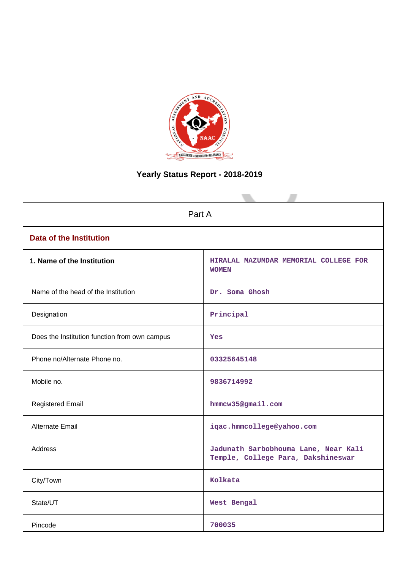

# **Yearly Status Report - 2018-2019**

| Part A                                        |                                                                            |  |
|-----------------------------------------------|----------------------------------------------------------------------------|--|
| <b>Data of the Institution</b>                |                                                                            |  |
| 1. Name of the Institution                    | HIRALAL MAZUMDAR MEMORIAL COLLEGE FOR<br><b>WOMEN</b>                      |  |
| Name of the head of the Institution           | Dr. Soma Ghosh                                                             |  |
| Designation                                   | Principal                                                                  |  |
| Does the Institution function from own campus | Yes                                                                        |  |
| Phone no/Alternate Phone no.                  | 03325645148                                                                |  |
| Mobile no.                                    | 9836714992                                                                 |  |
| <b>Registered Email</b>                       | hmmcw35@gmail.com                                                          |  |
| Alternate Email                               | iqac.hmmcollege@yahoo.com                                                  |  |
| <b>Address</b>                                | Jadunath Sarbobhouma Lane, Near Kali<br>Temple, College Para, Dakshineswar |  |
| City/Town                                     | Kolkata                                                                    |  |
| State/UT                                      | West Bengal                                                                |  |
| Pincode                                       | 700035                                                                     |  |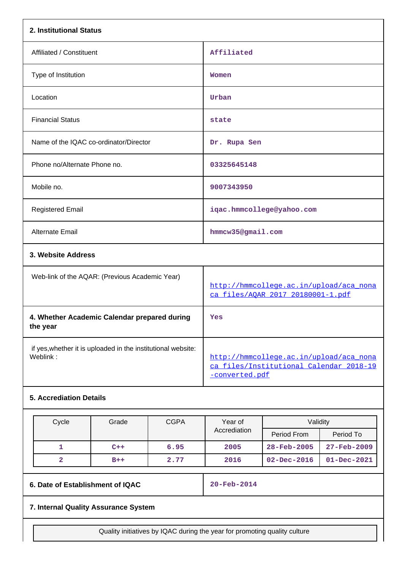| 2. Institutional Status                                                  |                                                                                                      |
|--------------------------------------------------------------------------|------------------------------------------------------------------------------------------------------|
| Affiliated / Constituent                                                 | Affiliated                                                                                           |
| Type of Institution                                                      | Women                                                                                                |
| Location                                                                 | Urban                                                                                                |
| <b>Financial Status</b>                                                  | state                                                                                                |
| Name of the IQAC co-ordinator/Director                                   | Dr. Rupa Sen                                                                                         |
| Phone no/Alternate Phone no.                                             | 03325645148                                                                                          |
| Mobile no.                                                               | 9007343950                                                                                           |
| <b>Registered Email</b>                                                  | iqac.hmmcollege@yahoo.com                                                                            |
| <b>Alternate Email</b>                                                   | hmmcw35@gmail.com                                                                                    |
| 3. Website Address                                                       |                                                                                                      |
| Web-link of the AQAR: (Previous Academic Year)                           | http://hmmcollege.ac.in/upload/aca_nona<br>ca_files/AQAR_2017_20180001-1.pdf                         |
| 4. Whether Academic Calendar prepared during<br>the year                 | Yes                                                                                                  |
| if yes, whether it is uploaded in the institutional website:<br>Weblink: | http://hmmcollege.ac.in/upload/aca_nona<br>ca files/Institutional Calendar 2018-19<br>-converted.pdf |
| <b>5. Accrediation Details</b>                                           |                                                                                                      |

| Cycle | Grade | <b>CGPA</b> | Year of      | Validity                 |                          |
|-------|-------|-------------|--------------|--------------------------|--------------------------|
|       |       |             | Accrediation | Period From              | Period To                |
|       | $C++$ | 6.95        | 2005         | $28 - \text{Feb} - 2005$ | $27 - \text{Feb} - 2009$ |
|       | $B++$ | 2.77        | 2016         | $02 - Dec - 2016$        | $01 - Dec - 2021$        |

**6. Date of Establishment of IQAC 20-Feb-2014**

# **7. Internal Quality Assurance System**

Quality initiatives by IQAC during the year for promoting quality culture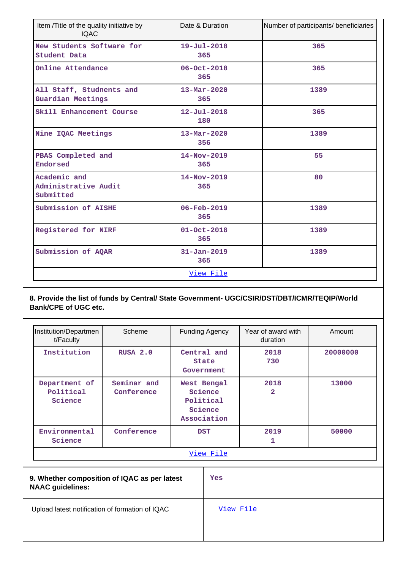| Item /Title of the quality initiative by<br><b>IQAC</b> | Date & Duration                 | Number of participants/ beneficiaries |
|---------------------------------------------------------|---------------------------------|---------------------------------------|
| New Students Software for<br>Student Data               | $19 - Ju1 - 2018$<br>365        | 365                                   |
| Online Attendance                                       | $06 - Oct - 2018$<br>365        | 365                                   |
| All Staff, Studnents and<br>Guardian Meetings           | $13 - \text{Mar} - 2020$<br>365 | 1389                                  |
| Skill Enhancement Course                                | $12 - Ju1 - 2018$<br>180        | 365                                   |
| Nine IQAC Meetings                                      | $13 - \text{Mar} - 2020$<br>356 | 1389                                  |
| PBAS Completed and<br>Endorsed                          | $14 - Nov - 2019$<br>365        | 55                                    |
| Academic and<br>Administrative Audit<br>Submitted       | $14 - Nov - 2019$<br>365        | 80                                    |
| Submission of AISHE                                     | $06 - \text{Feb} - 2019$<br>365 | 1389                                  |
| Registered for NIRF                                     | $01 - Oct - 2018$<br>365        | 1389                                  |
| Submission of AQAR                                      | $31 - Jan - 2019$<br>365        | 1389                                  |
|                                                         | <u>View File</u>                |                                       |

# **8. Provide the list of funds by Central/ State Government- UGC/CSIR/DST/DBT/ICMR/TEQIP/World Bank/CPE of UGC etc.**

| Institution/Departmen<br>t/Faculty                                                    | Scheme                    | <b>Funding Agency</b>                                         | Year of award with<br>duration | Amount   |
|---------------------------------------------------------------------------------------|---------------------------|---------------------------------------------------------------|--------------------------------|----------|
| Institution                                                                           | RUSA 2.0                  | Central and<br><b>State</b><br>Government                     | 2018<br>730                    | 20000000 |
| Department of<br>Political<br>Science                                                 | Seminar and<br>Conference | West Bengal<br>Science<br>Political<br>Science<br>Association | 2018<br>$\mathbf{2}$           | 13000    |
| Environmental<br>Science                                                              | Conference                | <b>DST</b>                                                    | 2019<br>1                      | 50000    |
| <u>View File</u>                                                                      |                           |                                                               |                                |          |
| 9. Whether composition of IQAC as per latest<br>$\mathbf{N}$ . A.O. and defined a set |                           | Yes                                                           |                                |          |

| 9. Whether composition of IQAC as per latest<br><b>NAAC guidelines:</b> | Yes       |
|-------------------------------------------------------------------------|-----------|
| Upload latest notification of formation of IQAC                         | View File |
|                                                                         |           |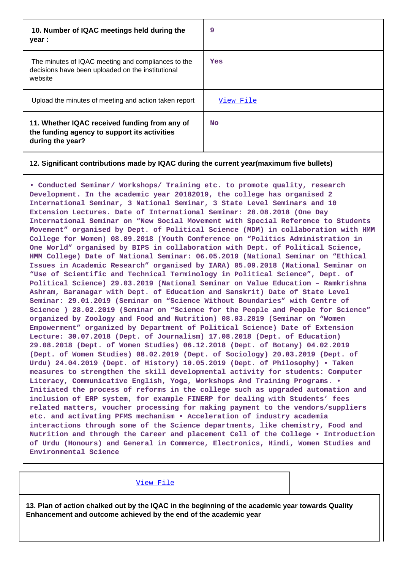| 10. Number of IQAC meetings held during the<br>year :                                                              | 9         |
|--------------------------------------------------------------------------------------------------------------------|-----------|
| The minutes of IQAC meeting and compliances to the<br>decisions have been uploaded on the institutional<br>website | Yes       |
| Upload the minutes of meeting and action taken report                                                              | View File |
| 11. Whether IQAC received funding from any of<br>the funding agency to support its activities<br>during the year?  | <b>No</b> |

#### **12. Significant contributions made by IQAC during the current year(maximum five bullets)**

**• Conducted Seminar/ Workshops/ Training etc. to promote quality, research Development. In the academic year 20182019, the college has organised 2 International Seminar, 3 National Seminar, 3 State Level Seminars and 10 Extension Lectures. Date of International Seminar: 28.08.2018 (One Day International Seminar on "New Social Movement with Special Reference to Students Movement" organised by Dept. of Political Science (MDM) in collaboration with HMM College for Women) 08.09.2018 (Youth Conference on "Politics Administration in One World" organised by BIPS in collaboration with Dept. of Political Science, HMM College) Date of National Seminar: 06.05.2019 (National Seminar on "Ethical Issues in Academic Research" organised by IARA) 05.09.2018 (National Seminar on "Use of Scientific and Technical Terminology in Political Science", Dept. of Political Science) 29.03.2019 (National Seminar on Value Education – Ramkrishna Ashram, Baranagar with Dept. of Education and Sanskrit) Date of State Level Seminar: 29.01.2019 (Seminar on "Science Without Boundaries" with Centre of Science ) 28.02.2019 (Seminar on "Science for the People and People for Science" organized by Zoology and Food and Nutrition) 08.03.2019 (Seminar on "Women Empowerment" organized by Department of Political Science) Date of Extension Lecture: 30.07.2018 (Dept. of Journalism) 17.08.2018 (Dept. of Education) 29.08.2018 (Dept. of Women Studies) 06.12.2018 (Dept. of Botany) 04.02.2019 (Dept. of Women Studies) 08.02.2019 (Dept. of Sociology) 20.03.2019 (Dept. of Urdu) 24.04.2019 (Dept. of History) 10.05.2019 (Dept. of Philosophy) • Taken measures to strengthen the skill developmental activity for students: Computer Literacy, Communicative English, Yoga, Workshops And Training Programs. • Initiated the process of reforms in the college such as upgraded automation and inclusion of ERP system, for example FINERP for dealing with Students' fees related matters, voucher processing for making payment to the vendors/suppliers etc. and activating PFMS mechanism • Acceleration of industry academia interactions through some of the Science departments, like chemistry, Food and Nutrition and through the Career and placement Cell of the College • Introduction of Urdu (Honours) and General in Commerce, Electronics, Hindi, Women Studies and Environmental Science**

#### [View File](https://assessmentonline.naac.gov.in/public/Postacc/Contribution/4934_Contribution.xlsx)

**13. Plan of action chalked out by the IQAC in the beginning of the academic year towards Quality Enhancement and outcome achieved by the end of the academic year**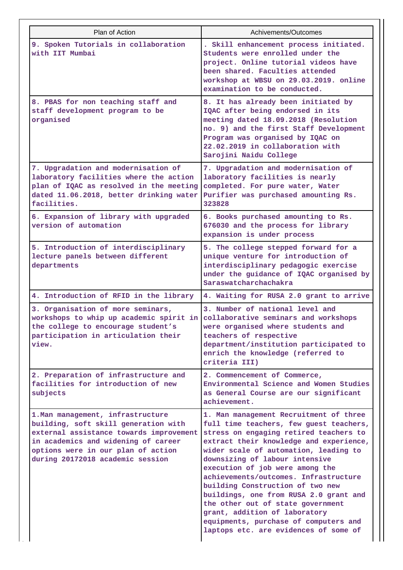| Plan of Action                                                                                                                                                                                                                        | Achivements/Outcomes                                                                                                                                                                                                                                                                                                                                                                                                                                                                                                                                                |
|---------------------------------------------------------------------------------------------------------------------------------------------------------------------------------------------------------------------------------------|---------------------------------------------------------------------------------------------------------------------------------------------------------------------------------------------------------------------------------------------------------------------------------------------------------------------------------------------------------------------------------------------------------------------------------------------------------------------------------------------------------------------------------------------------------------------|
| 9. Spoken Tutorials in collaboration<br>with IIT Mumbai                                                                                                                                                                               | . Skill enhancement process initiated.<br>Students were enrolled under the<br>project. Online tutorial videos have<br>been shared. Faculties attended<br>workshop at WBSU on 29.03.2019. online<br>examination to be conducted.                                                                                                                                                                                                                                                                                                                                     |
| 8. PBAS for non teaching staff and<br>staff development program to be<br>organised                                                                                                                                                    | 8. It has already been initiated by<br>IQAC after being endorsed in its<br>meeting dated 18.09.2018 (Resolution<br>no. 9) and the first Staff Development<br>Program was organised by IQAC on<br>22.02.2019 in collaboration with<br>Sarojini Naidu College                                                                                                                                                                                                                                                                                                         |
| 7. Upgradation and modernisation of<br>laboratory facilities where the action<br>plan of IQAC as resolved in the meeting<br>dated 11.06.2018, better drinking water<br>facilities.                                                    | 7. Upgradation and modernisation of<br>laboratory facilities is nearly<br>completed. For pure water, Water<br>Purifier was purchased amounting Rs.<br>323828                                                                                                                                                                                                                                                                                                                                                                                                        |
| 6. Expansion of library with upgraded<br>version of automation                                                                                                                                                                        | 6. Books purchased amounting to Rs.<br>676030 and the process for library<br>expansion is under process                                                                                                                                                                                                                                                                                                                                                                                                                                                             |
| 5. Introduction of interdisciplinary<br>lecture panels between different<br>departments                                                                                                                                               | 5. The college stepped forward for a<br>unique venture for introduction of<br>interdisciplinary pedagogic exercise<br>under the guidance of IQAC organised by<br>Saraswatcharchachakra                                                                                                                                                                                                                                                                                                                                                                              |
| 4. Introduction of RFID in the library                                                                                                                                                                                                | 4. Waiting for RUSA 2.0 grant to arrive                                                                                                                                                                                                                                                                                                                                                                                                                                                                                                                             |
| 3. Organisation of more seminars,<br>workshops to whip up academic spirit in collaborative seminars and workshops<br>the college to encourage student's<br>participation in articulation their<br>view.                               | 3. Number of national level and<br>were organised where students and<br>teachers of respective<br>department/institution participated to<br>enrich the knowledge (referred to<br>criteria III)                                                                                                                                                                                                                                                                                                                                                                      |
| 2. Preparation of infrastructure and<br>facilities for introduction of new<br>subjects                                                                                                                                                | 2. Commencement of Commerce,<br>Environmental Science and Women Studies<br>as General Course are our significant<br>achievement.                                                                                                                                                                                                                                                                                                                                                                                                                                    |
| 1. Man management, infrastructure<br>building, soft skill generation with<br>external assistance towards improvement<br>in academics and widening of career<br>options were in our plan of action<br>during 20172018 academic session | 1. Man management Recruitment of three<br>full time teachers, few guest teachers,<br>stress on engaging retired teachers to<br>extract their knowledge and experience,<br>wider scale of automation, leading to<br>downsizing of labour intensive<br>execution of job were among the<br>achievements/outcomes. Infrastructure<br>building Construction of two new<br>buildings, one from RUSA 2.0 grant and<br>the other out of state government<br>grant, addition of laboratory<br>equipments, purchase of computers and<br>laptops etc. are evidences of some of |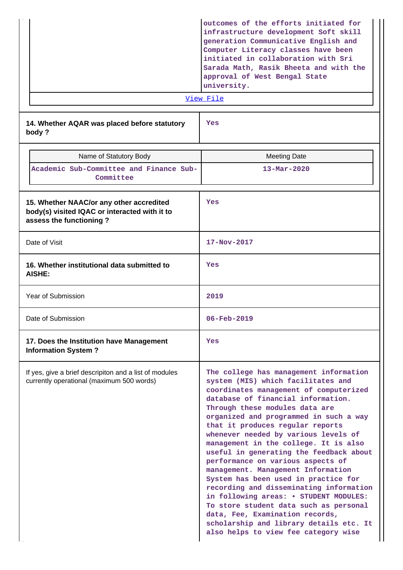|           | outcomes of the efforts initiated for<br>infrastructure development Soft skill<br>generation Communicative English and<br>Computer Literacy classes have been<br>initiated in collaboration with Sri<br>Sarada Math, Rasik Bheeta and with the<br>approval of West Bengal State<br>university. |
|-----------|------------------------------------------------------------------------------------------------------------------------------------------------------------------------------------------------------------------------------------------------------------------------------------------------|
| View File |                                                                                                                                                                                                                                                                                                |

**14. Whether AQAR was placed before statutory body ?**

**Yes**

| Name of Statutory Body                                                                                               | <b>Meeting Date</b>                                                                                                                                                                                                                                                                                                                                                                                                                                                                                                                                                                                                                                                                                                                                                              |
|----------------------------------------------------------------------------------------------------------------------|----------------------------------------------------------------------------------------------------------------------------------------------------------------------------------------------------------------------------------------------------------------------------------------------------------------------------------------------------------------------------------------------------------------------------------------------------------------------------------------------------------------------------------------------------------------------------------------------------------------------------------------------------------------------------------------------------------------------------------------------------------------------------------|
| Academic Sub-Committee and Finance Sub-<br>Committee                                                                 | $13 - \text{Mar} - 2020$                                                                                                                                                                                                                                                                                                                                                                                                                                                                                                                                                                                                                                                                                                                                                         |
| 15. Whether NAAC/or any other accredited<br>body(s) visited IQAC or interacted with it to<br>assess the functioning? | Yes                                                                                                                                                                                                                                                                                                                                                                                                                                                                                                                                                                                                                                                                                                                                                                              |
| Date of Visit                                                                                                        | 17-Nov-2017                                                                                                                                                                                                                                                                                                                                                                                                                                                                                                                                                                                                                                                                                                                                                                      |
| 16. Whether institutional data submitted to<br><b>AISHE:</b>                                                         | Yes                                                                                                                                                                                                                                                                                                                                                                                                                                                                                                                                                                                                                                                                                                                                                                              |
| Year of Submission                                                                                                   | 2019                                                                                                                                                                                                                                                                                                                                                                                                                                                                                                                                                                                                                                                                                                                                                                             |
| Date of Submission                                                                                                   | 06-Feb-2019                                                                                                                                                                                                                                                                                                                                                                                                                                                                                                                                                                                                                                                                                                                                                                      |
| 17. Does the Institution have Management<br><b>Information System?</b>                                               | Yes                                                                                                                                                                                                                                                                                                                                                                                                                                                                                                                                                                                                                                                                                                                                                                              |
| If yes, give a brief descripiton and a list of modules<br>currently operational (maximum 500 words)                  | The college has management information<br>system (MIS) which facilitates and<br>coordinates management of computerized<br>database of financial information.<br>Through these modules data are<br>organized and programmed in such a way<br>that it produces regular reports<br>whenever needed by various levels of<br>management in the college. It is also<br>useful in generating the feedback about<br>performance on various aspects of<br>management. Management Information<br>System has been used in practice for<br>recording and disseminating information<br>in following areas: • STUDENT MODULES:<br>To store student data such as personal<br>data, Fee, Examination records,<br>scholarship and library details etc. It<br>also helps to view fee category wise |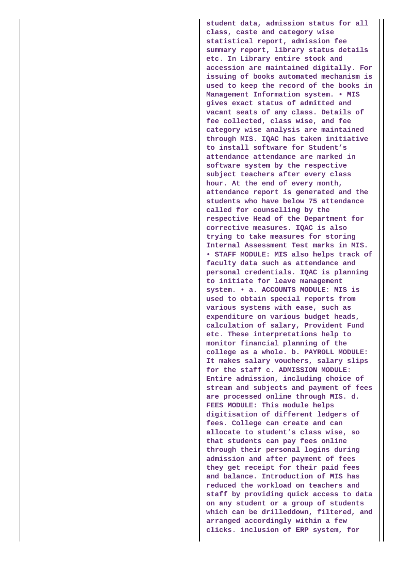**student data, admission status for all class, caste and category wise statistical report, admission fee summary report, library status details etc. In Library entire stock and accession are maintained digitally. For issuing of books automated mechanism is used to keep the record of the books in Management Information system. • MIS gives exact status of admitted and vacant seats of any class. Details of fee collected, class wise, and fee category wise analysis are maintained through MIS. IQAC has taken initiative to install software for Student's attendance attendance are marked in software system by the respective subject teachers after every class hour. At the end of every month, attendance report is generated and the students who have below 75 attendance called for counselling by the respective Head of the Department for corrective measures. IQAC is also trying to take measures for storing Internal Assessment Test marks in MIS. • STAFF MODULE: MIS also helps track of faculty data such as attendance and personal credentials. IQAC is planning to initiate for leave management system. • a. ACCOUNTS MODULE: MIS is used to obtain special reports from various systems with ease, such as expenditure on various budget heads, calculation of salary, Provident Fund etc. These interpretations help to monitor financial planning of the college as a whole. b. PAYROLL MODULE: It makes salary vouchers, salary slips for the staff c. ADMISSION MODULE: Entire admission, including choice of stream and subjects and payment of fees are processed online through MIS. d. FEES MODULE: This module helps digitisation of different ledgers of fees. College can create and can allocate to student's class wise, so that students can pay fees online through their personal logins during admission and after payment of fees they get receipt for their paid fees and balance. Introduction of MIS has reduced the workload on teachers and staff by providing quick access to data on any student or a group of students which can be drilleddown, filtered, and arranged accordingly within a few clicks. inclusion of ERP system, for**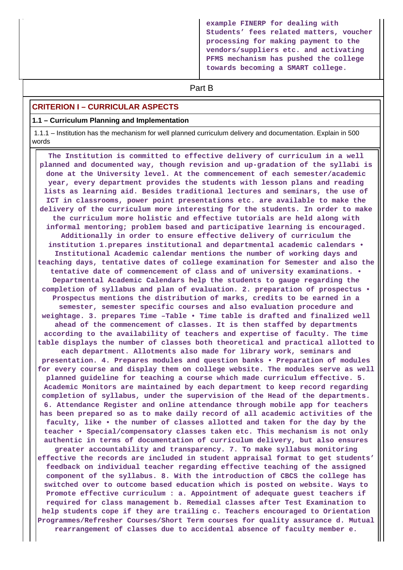**example FINERP for dealing with Students' fees related matters, voucher processing for making payment to the vendors/suppliers etc. and activating PFMS mechanism has pushed the college towards becoming a SMART college.**

# **Part B**

#### **CRITERION I – CURRICULAR ASPECTS**

#### **1.1 – Curriculum Planning and Implementation**

 1.1.1 – Institution has the mechanism for well planned curriculum delivery and documentation. Explain in 500 words

 **The Institution is committed to effective delivery of curriculum in a well planned and documented way, though revision and up-gradation of the syllabi is done at the University level. At the commencement of each semester/academic year, every department provides the students with lesson plans and reading lists as learning aid. Besides traditional lectures and seminars, the use of ICT in classrooms, power point presentations etc. are available to make the delivery of the curriculum more interesting for the students. In order to make the curriculum more holistic and effective tutorials are held along with informal mentoring; problem based and participative learning is encouraged. Additionally in order to ensure effective delivery of curriculum the institution 1.prepares institutional and departmental academic calendars • Institutional Academic calendar mentions the number of working days and teaching days, tentative dates of college examination for Semester and also the tentative date of commencement of class and of university examinations. • Departmental Academic Calendars help the students to gauge regarding the completion of syllabus and plan of evaluation. 2. preparation of prospectus • Prospectus mentions the distribution of marks, credits to be earned in a semester, semester specific courses and also evaluation procedure and weightage. 3. prepares Time –Table • Time table is drafted and finalized well ahead of the commencement of classes. It is then staffed by departments according to the availability of teachers and expertise of faculty. The time table displays the number of classes both theoretical and practical allotted to each department. Allotments also made for library work, seminars and presentation. 4. Prepares modules and question banks • Preparation of modules for every course and display them on college website. The modules serve as well planned guideline for teaching a course which made curriculum effective. 5. Academic Monitors are maintained by each department to keep record regarding completion of syllabus, under the supervision of the Head of the departments. 6. Attendance Register and online attendance through mobile app for teachers has been prepared so as to make daily record of all academic activities of the faculty, like • the number of classes allotted and taken for the day by the teacher • Special/compensatory classes taken etc. This mechanism is not only authentic in terms of documentation of curriculum delivery, but also ensures greater accountability and transparency. 7. To make syllabus monitoring effective the records are included in student appraisal format to get students' feedback on individual teacher regarding effective teaching of the assigned component of the syllabus. 8. With the introduction of CBCS the college has switched over to outcome based education which is posted on website. Ways to Promote effective curriculum : a. Appointment of adequate guest teachers if required for class management b. Remedial classes after Test Examination to help students cope if they are trailing c. Teachers encouraged to Orientation Programmes/Refresher Courses/Short Term courses for quality assurance d. Mutual rearrangement of classes due to accidental absence of faculty member e.**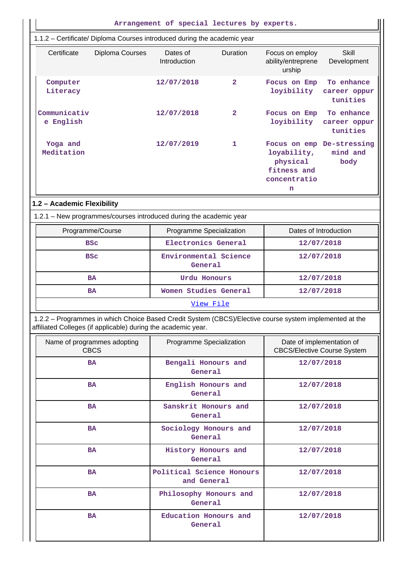| Arrangement of special lectures by experts.                                                                                                                              |                                                                                             |                           |                                                                                          |                                        |
|--------------------------------------------------------------------------------------------------------------------------------------------------------------------------|---------------------------------------------------------------------------------------------|---------------------------|------------------------------------------------------------------------------------------|----------------------------------------|
| 1.1.2 - Certificate/ Diploma Courses introduced during the academic year                                                                                                 |                                                                                             |                           |                                                                                          |                                        |
| Certificate<br>Diploma Courses                                                                                                                                           | Dates of<br>Introduction                                                                    | Duration                  | Focus on employ<br>ability/entreprene<br>urship                                          | <b>Skill</b><br>Development            |
| Computer<br>Literacy                                                                                                                                                     | 12/07/2018                                                                                  | $\mathbf{2}^{\mathsf{r}}$ | Focus on Emp<br>loyibility                                                               | To enhance<br>career oppur<br>tunities |
| Communicativ<br>e English                                                                                                                                                | 12/07/2018                                                                                  | $\mathbf{2}$              | Focus on Emp<br>loyibility                                                               | To enhance<br>career oppur<br>tunities |
| Yoga and<br>Meditation                                                                                                                                                   | 12/07/2019                                                                                  | 1                         | Focus on emp De-stressing<br>loyability,<br>physical<br>fitness and<br>concentratio<br>n | mind and<br>body                       |
| 1.2 - Academic Flexibility                                                                                                                                               |                                                                                             |                           |                                                                                          |                                        |
| 1.2.1 - New programmes/courses introduced during the academic year                                                                                                       |                                                                                             |                           |                                                                                          |                                        |
| Programme/Course                                                                                                                                                         | Programme Specialization                                                                    |                           | Dates of Introduction                                                                    |                                        |
| <b>BSC</b>                                                                                                                                                               | Electronics General                                                                         |                           | 12/07/2018                                                                               |                                        |
| <b>BSC</b>                                                                                                                                                               | Environmental Science<br>General                                                            |                           | 12/07/2018                                                                               |                                        |
| <b>BA</b>                                                                                                                                                                | Urdu Honours                                                                                |                           | 12/07/2018                                                                               |                                        |
| <b>BA</b>                                                                                                                                                                | Women Studies General                                                                       |                           | 12/07/2018                                                                               |                                        |
| <u>View File</u>                                                                                                                                                         |                                                                                             |                           |                                                                                          |                                        |
| 1.2.2 - Programmes in which Choice Based Credit System (CBCS)/Elective course system implemented at the<br>affiliated Colleges (if applicable) during the academic year. |                                                                                             |                           |                                                                                          |                                        |
| Name of programmes adopting<br><b>CBCS</b>                                                                                                                               | Programme Specialization<br>Date of implementation of<br><b>CBCS/Elective Course System</b> |                           |                                                                                          |                                        |
| <b>BA</b>                                                                                                                                                                | Bengali Honours and<br>General                                                              |                           | 12/07/2018                                                                               |                                        |
| <b>BA</b>                                                                                                                                                                | English Honours and<br>General                                                              |                           | 12/07/2018                                                                               |                                        |
| <b>BA</b>                                                                                                                                                                | Sanskrit Honours and<br>General                                                             |                           | 12/07/2018                                                                               |                                        |
| <b>BA</b>                                                                                                                                                                | Sociology Honours and<br>General                                                            |                           | 12/07/2018                                                                               |                                        |
| <b>BA</b>                                                                                                                                                                | History Honours and<br>General                                                              |                           | 12/07/2018                                                                               |                                        |
| <b>BA</b>                                                                                                                                                                | Political Science Honours<br>and General                                                    |                           | 12/07/2018                                                                               |                                        |
| <b>BA</b>                                                                                                                                                                | Philosophy Honours and<br>General                                                           |                           | 12/07/2018                                                                               |                                        |
| <b>BA</b>                                                                                                                                                                | Education Honours and<br>General                                                            |                           | 12/07/2018                                                                               |                                        |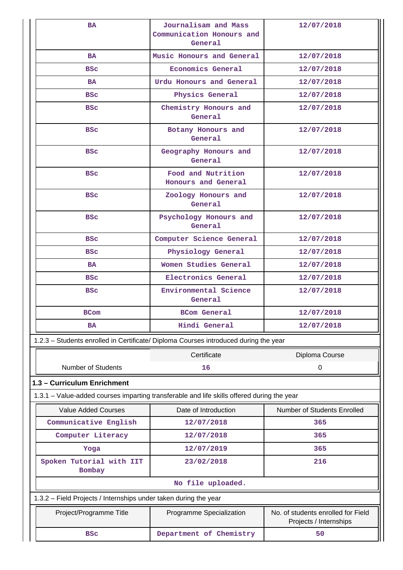| <b>BA</b>                                                                                  | Journalisam and Mass<br>12/07/2018<br>Communication Honours and<br>General               |                             |  |  |
|--------------------------------------------------------------------------------------------|------------------------------------------------------------------------------------------|-----------------------------|--|--|
| <b>BA</b>                                                                                  | Music Honours and General                                                                | 12/07/2018                  |  |  |
| <b>BSC</b>                                                                                 | <b>Economics General</b>                                                                 | 12/07/2018                  |  |  |
| <b>BA</b>                                                                                  | Urdu Honours and General                                                                 | 12/07/2018                  |  |  |
| <b>BSC</b>                                                                                 | Physics General                                                                          | 12/07/2018                  |  |  |
| <b>BSC</b>                                                                                 | Chemistry Honours and<br>General                                                         | 12/07/2018                  |  |  |
| <b>BSC</b>                                                                                 | Botany Honours and<br>General                                                            | 12/07/2018                  |  |  |
| <b>BSC</b>                                                                                 | Geography Honours and<br>General                                                         | 12/07/2018                  |  |  |
| <b>BSC</b>                                                                                 | Food and Nutrition<br>Honours and General                                                | 12/07/2018                  |  |  |
| <b>BSC</b>                                                                                 | Zoology Honours and<br>General                                                           | 12/07/2018                  |  |  |
| <b>BSC</b>                                                                                 | Psychology Honours and<br>General                                                        | 12/07/2018                  |  |  |
| <b>BSC</b>                                                                                 | Computer Science General                                                                 | 12/07/2018                  |  |  |
| <b>BSC</b>                                                                                 | Physiology General                                                                       | 12/07/2018                  |  |  |
| <b>BA</b>                                                                                  | Women Studies General                                                                    | 12/07/2018                  |  |  |
| <b>BSC</b>                                                                                 | Electronics General                                                                      | 12/07/2018                  |  |  |
| <b>BSC</b>                                                                                 | Environmental Science<br>General                                                         | 12/07/2018                  |  |  |
| <b>BCom</b>                                                                                | <b>BCom General</b>                                                                      | 12/07/2018                  |  |  |
| <b>BA</b>                                                                                  | Hindi General                                                                            | 12/07/2018                  |  |  |
| 1.2.3 - Students enrolled in Certificate/ Diploma Courses introduced during the year       |                                                                                          |                             |  |  |
|                                                                                            | Certificate                                                                              | Diploma Course              |  |  |
| <b>Number of Students</b>                                                                  | 16                                                                                       | 0                           |  |  |
| 1.3 - Curriculum Enrichment                                                                |                                                                                          |                             |  |  |
| 1.3.1 – Value-added courses imparting transferable and life skills offered during the year |                                                                                          |                             |  |  |
| <b>Value Added Courses</b>                                                                 | Date of Introduction                                                                     | Number of Students Enrolled |  |  |
| Communicative English                                                                      | 12/07/2018                                                                               | 365                         |  |  |
| Computer Literacy                                                                          | 12/07/2018                                                                               | 365                         |  |  |
| Yoga                                                                                       | 12/07/2019                                                                               | 365                         |  |  |
| Spoken Tutorial with IIT<br>Bombay                                                         | 23/02/2018                                                                               | 216                         |  |  |
|                                                                                            | No file uploaded.                                                                        |                             |  |  |
| 1.3.2 - Field Projects / Internships under taken during the year                           |                                                                                          |                             |  |  |
| Project/Programme Title                                                                    | No. of students enrolled for Field<br>Programme Specialization<br>Projects / Internships |                             |  |  |
| <b>BSC</b>                                                                                 | Department of Chemistry<br>50                                                            |                             |  |  |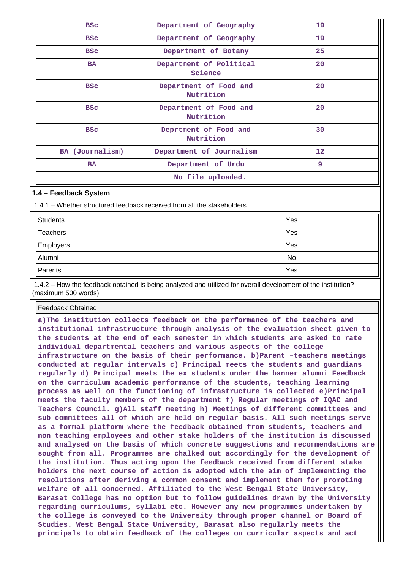| <b>BSC</b>        | Department of Geography             | 19 |  |  |  |
|-------------------|-------------------------------------|----|--|--|--|
| <b>BSC</b>        | Department of Geography             | 19 |  |  |  |
| <b>BSC</b>        | Department of Botany                | 25 |  |  |  |
| <b>BA</b>         | Department of Political<br>Science  | 20 |  |  |  |
| <b>BSC</b>        | Department of Food and<br>Nutrition | 20 |  |  |  |
| <b>BSC</b>        | Department of Food and<br>Nutrition | 20 |  |  |  |
| <b>BSC</b>        | Deprtment of Food and<br>Nutrition  | 30 |  |  |  |
| BA (Journalism)   | Department of Journalism            |    |  |  |  |
| <b>BA</b>         | Department of Urdu                  | 9  |  |  |  |
| No file uploaded. |                                     |    |  |  |  |

#### **1.4 – Feedback System**

1.4.1 – Whether structured feedback received from all the stakeholders.

| <b>Students</b> | Yes |
|-----------------|-----|
| Teachers        | Yes |
| Employers       | Yes |
| Alumni          | No  |
| Parents         | Yes |

 1.4.2 – How the feedback obtained is being analyzed and utilized for overall development of the institution? (maximum 500 words)

Feedback Obtained

**a)The institution collects feedback on the performance of the teachers and institutional infrastructure through analysis of the evaluation sheet given to the students at the end of each semester in which students are asked to rate individual departmental teachers and various aspects of the college infrastructure on the basis of their performance. b)Parent –teachers meetings conducted at regular intervals c) Principal meets the students and guardians regularly d) Principal meets the ex students under the banner alumni Feedback on the curriculum academic performance of the students, teaching learning process as well on the functioning of infrastructure is collected e)Principal meets the faculty members of the department f) Regular meetings of IQAC and Teachers Council. g)All staff meeting h) Meetings of different committees and sub committees all of which are held on regular basis. All such meetings serve as a formal platform where the feedback obtained from students, teachers and non teaching employees and other stake holders of the institution is discussed and analysed on the basis of which concrete suggestions and recommendations are sought from all. Programmes are chalked out accordingly for the development of the institution. Thus acting upon the feedback received from different stake holders the next course of action is adopted with the aim of implementing the resolutions after deriving a common consent and implement them for promoting welfare of all concerned. Affiliated to the West Bengal State University, Barasat College has no option but to follow guidelines drawn by the University regarding curriculums, syllabi etc. However any new programmes undertaken by the college is conveyed to the University through proper channel or Board of Studies. West Bengal State University, Barasat also regularly meets the principals to obtain feedback of the colleges on curricular aspects and act**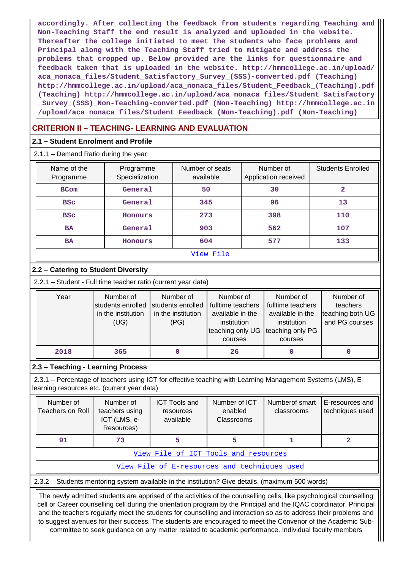**accordingly. After collecting the feedback from students regarding Teaching and Non-Teaching Staff the end result is analyzed and uploaded in the website. Thereafter the college initiated to meet the students who face problems and Principal along with the Teaching Staff tried to mitigate and address the problems that cropped up. Below provided are the links for questionnaire and feedback taken that is uploaded in the website. http://hmmcollege.ac.in/upload/ aca\_nonaca\_files/Student\_Satisfactory\_Survey\_(SSS)-converted.pdf (Teaching) http://hmmcollege.ac.in/upload/aca\_nonaca\_files/Student\_Feedback\_(Teaching).pdf (Teaching) http://hmmcollege.ac.in/upload/aca\_nonaca\_files/Student\_Satisfactory \_Survey\_(SSS)\_Non-Teaching-converted.pdf (Non-Teaching) http://hmmcollege.ac.in /upload/aca\_nonaca\_files/Student\_Feedback\_(Non-Teaching).pdf (Non-Teaching)**

# **CRITERION II – TEACHING- LEARNING AND EVALUATION**

# **2.1 – Student Enrolment and Profile**

2.1.1 – Demand Ratio during the year

| Name of the<br>Programme | Programme<br>Specialization | Number of seats<br>available | Number of<br>Application received | <b>Students Enrolled</b> |
|--------------------------|-----------------------------|------------------------------|-----------------------------------|--------------------------|
| <b>BCom</b>              | General                     | 50                           | 30                                | $\overline{2}$           |
| <b>BSC</b>               | General                     | 345                          | 96                                | 13                       |
| <b>BSC</b>               | Honours                     | 273                          | 398                               | 110                      |
| <b>BA</b>                | General                     | 903                          | 562                               | 107                      |
| <b>BA</b>                | Honours                     | 604                          | 577                               | 133                      |
|                          |                             | View File                    |                                   |                          |

# **2.2 – Catering to Student Diversity**

2.2.1 – Student - Full time teacher ratio (current year data)

| Year | Number of<br>students enrolled<br>in the institution<br>(UG) | Number of<br>students enrolled<br>in the institution<br>(PG) | Number of<br>fulltime teachers<br>available in the<br>institution<br>teaching only UG Iteaching only PG<br>courses | Number of<br>fulltime teachers<br>available in the<br>institution<br>courses | Number of<br>teachers<br>teaching both UG<br>and PG courses |
|------|--------------------------------------------------------------|--------------------------------------------------------------|--------------------------------------------------------------------------------------------------------------------|------------------------------------------------------------------------------|-------------------------------------------------------------|
| 2018 | 365                                                          |                                                              | 26                                                                                                                 |                                                                              |                                                             |

# **2.3 – Teaching - Learning Process**

 2.3.1 – Percentage of teachers using ICT for effective teaching with Learning Management Systems (LMS), Elearning resources etc. (current year data)

| Number of<br>Teachers on Roll                | Number of<br>teachers using<br>ICT (LMS, e-<br>Resources) | <b>ICT Tools and</b><br>resources<br>available | Number of ICT<br>enabled<br>Classrooms | Numberof smart<br>classrooms | E-resources and<br>techniques used |  |
|----------------------------------------------|-----------------------------------------------------------|------------------------------------------------|----------------------------------------|------------------------------|------------------------------------|--|
| 91                                           | 73                                                        |                                                |                                        |                              |                                    |  |
| View File of ICT Tools and resources         |                                                           |                                                |                                        |                              |                                    |  |
| View File of E-resources and techniques used |                                                           |                                                |                                        |                              |                                    |  |

2.3.2 – Students mentoring system available in the institution? Give details. (maximum 500 words)

 The newly admitted students are apprised of the activities of the counselling cells, like psychological counselling cell or Career counselling cell during the orientation program by the Principal and the IQAC coordinator. Principal and the teachers regularly meet the students for counselling and interaction so as to address their problems and to suggest avenues for their success. The students are encouraged to meet the Convenor of the Academic Subcommittee to seek guidance on any matter related to academic performance. Individual faculty members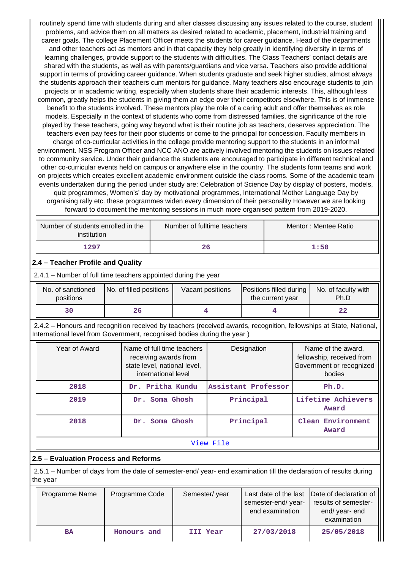routinely spend time with students during and after classes discussing any issues related to the course, student problems, and advice them on all matters as desired related to academic, placement, industrial training and career goals. The college Placement Officer meets the students for career guidance. Head of the departments and other teachers act as mentors and in that capacity they help greatly in identifying diversity in terms of learning challenges, provide support to the students with difficulties. The Class Teachers' contact details are shared with the students, as well as with parents/guardians and vice versa. Teachers also provide additional support in terms of providing career guidance. When students graduate and seek higher studies, almost always the students approach their teachers cum mentors for guidance. Many teachers also encourage students to join projects or in academic writing, especially when students share their academic interests. This, although less common, greatly helps the students in giving them an edge over their competitors elsewhere. This is of immense benefit to the students involved. These mentors play the role of a caring adult and offer themselves as role models. Especially in the context of students who come from distressed families, the significance of the role played by these teachers, going way beyond what is their routine job as teachers, deserves appreciation. The teachers even pay fees for their poor students or come to the principal for concession. Faculty members in charge of co-curricular activities in the college provide mentoring support to the students in an informal environment. NSS Program Officer and NCC ANO are actively involved mentoring the students on issues related to community service. Under their guidance the students are encouraged to participate in different technical and other co-curricular events held on campus or anywhere else in the country. The students form teams and work on projects which creates excellent academic environment outside the class rooms. Some of the academic team events undertaken during the period under study are: Celebration of Science Day by display of posters, models, quiz programmes, Women's' day by motivational programmes, International Mother Language Day by organising rally etc. these programmes widen every dimension of their personality However we are looking forward to document the mentoring sessions in much more organised pattern from 2019-2020.

| Number of students enrolled in the<br>institution | Number of fulltime teachers | Mentor: Mentee Ratio |
|---------------------------------------------------|-----------------------------|----------------------|
| 1297                                              | 26                          | 1:50                 |

#### **2.4 – Teacher Profile and Quality**

2.4.1 – Number of full time teachers appointed during the year

| No. of sanctioned<br>positions | No. of filled positions | Vacant positions | Positions filled during<br>the current year | No. of faculty with<br>Ph.D |
|--------------------------------|-------------------------|------------------|---------------------------------------------|-----------------------------|
| 30                             | 26                      |                  |                                             |                             |

 2.4.2 – Honours and recognition received by teachers (received awards, recognition, fellowships at State, National, International level from Government, recognised bodies during the year )

| Year of Award | Name of full time teachers<br>receiving awards from<br>state level, national level,<br>international level | Designation         | Name of the award,<br>fellowship, received from<br>Government or recognized<br>bodies |  |  |
|---------------|------------------------------------------------------------------------------------------------------------|---------------------|---------------------------------------------------------------------------------------|--|--|
| 2018          | Dr. Pritha Kundu                                                                                           | Assistant Professor | Ph.D.                                                                                 |  |  |
| 2019          | Dr. Soma Ghosh                                                                                             | Principal           | Lifetime Achievers<br>Award                                                           |  |  |
| 2018          | Dr. Soma Ghosh                                                                                             | Principal           | Clean Environment<br>Award                                                            |  |  |
| View File     |                                                                                                            |                     |                                                                                       |  |  |

#### **2.5 – Evaluation Process and Reforms**

 2.5.1 – Number of days from the date of semester-end/ year- end examination till the declaration of results during the year

| Programme Name | Programme Code | Semester/year | semester-end/year-<br>end examination | Last date of the last   Date of declaration of<br>results of semester-<br>end/year-end<br>examination |
|----------------|----------------|---------------|---------------------------------------|-------------------------------------------------------------------------------------------------------|
| <b>BA</b>      | Honours and    | III Year      | 27/03/2018                            | 25/05/2018                                                                                            |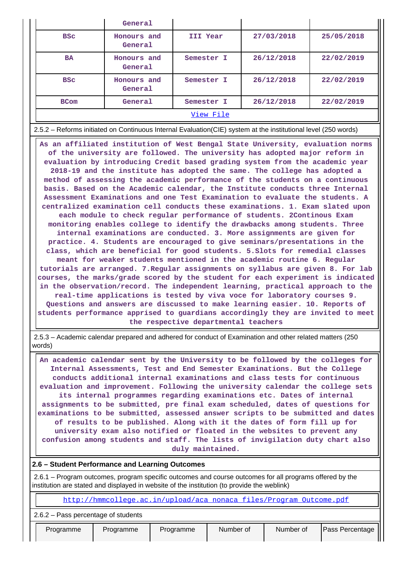|                                                                                                                                                                                                                                                                                                                                                                                                                                                                                                                                                                                                                                                                                                                                                                                                                                                                                                                                                                                                                                                                                                                                                                                                                                                                                                                                                                                                                                                                                                                                                                                                                                          | General                |            |            |            |  |  |  |
|------------------------------------------------------------------------------------------------------------------------------------------------------------------------------------------------------------------------------------------------------------------------------------------------------------------------------------------------------------------------------------------------------------------------------------------------------------------------------------------------------------------------------------------------------------------------------------------------------------------------------------------------------------------------------------------------------------------------------------------------------------------------------------------------------------------------------------------------------------------------------------------------------------------------------------------------------------------------------------------------------------------------------------------------------------------------------------------------------------------------------------------------------------------------------------------------------------------------------------------------------------------------------------------------------------------------------------------------------------------------------------------------------------------------------------------------------------------------------------------------------------------------------------------------------------------------------------------------------------------------------------------|------------------------|------------|------------|------------|--|--|--|
| <b>BSC</b>                                                                                                                                                                                                                                                                                                                                                                                                                                                                                                                                                                                                                                                                                                                                                                                                                                                                                                                                                                                                                                                                                                                                                                                                                                                                                                                                                                                                                                                                                                                                                                                                                               | Honours and<br>General | III Year   | 27/03/2018 | 25/05/2018 |  |  |  |
| <b>BA</b>                                                                                                                                                                                                                                                                                                                                                                                                                                                                                                                                                                                                                                                                                                                                                                                                                                                                                                                                                                                                                                                                                                                                                                                                                                                                                                                                                                                                                                                                                                                                                                                                                                | Honours and<br>General | Semester I | 26/12/2018 | 22/02/2019 |  |  |  |
| <b>BSC</b>                                                                                                                                                                                                                                                                                                                                                                                                                                                                                                                                                                                                                                                                                                                                                                                                                                                                                                                                                                                                                                                                                                                                                                                                                                                                                                                                                                                                                                                                                                                                                                                                                               | Honours and<br>General | Semester I | 26/12/2018 | 22/02/2019 |  |  |  |
| <b>BCom</b>                                                                                                                                                                                                                                                                                                                                                                                                                                                                                                                                                                                                                                                                                                                                                                                                                                                                                                                                                                                                                                                                                                                                                                                                                                                                                                                                                                                                                                                                                                                                                                                                                              | General                | Semester I | 26/12/2018 | 22/02/2019 |  |  |  |
|                                                                                                                                                                                                                                                                                                                                                                                                                                                                                                                                                                                                                                                                                                                                                                                                                                                                                                                                                                                                                                                                                                                                                                                                                                                                                                                                                                                                                                                                                                                                                                                                                                          |                        | View File  |            |            |  |  |  |
| 2.5.2 – Reforms initiated on Continuous Internal Evaluation (CIE) system at the institutional level (250 words)                                                                                                                                                                                                                                                                                                                                                                                                                                                                                                                                                                                                                                                                                                                                                                                                                                                                                                                                                                                                                                                                                                                                                                                                                                                                                                                                                                                                                                                                                                                          |                        |            |            |            |  |  |  |
| As an affiliated institution of West Bengal State University, evaluation norms<br>of the university are followed. The university has adopted major reform in<br>evaluation by introducing Credit based grading system from the academic year<br>2018-19 and the institute has adopted the same. The college has adopted a<br>method of assessing the academic performance of the students on a continuous<br>basis. Based on the Academic calendar, the Institute conducts three Internal<br>Assessment Examinations and one Test Examination to evaluate the students. A<br>centralized examination cell conducts these examinations. 1. Exam slated upon<br>each module to check regular performance of students. 2Continous Exam<br>monitoring enables college to identify the drawbacks among students. Three<br>internal examinations are conducted. 3. More assignments are given for<br>practice. 4. Students are encouraged to give seminars/presentations in the<br>class, which are beneficial for good students. 5. Slots for remedial classes<br>meant for weaker students mentioned in the academic routine 6. Regular<br>tutorials are arranged. 7. Regular assignments on syllabus are given 8. For lab<br>courses, the marks/grade scored by the student for each experiment is indicated<br>in the observation/record. The independent learning, practical approach to the<br>real-time applications is tested by viva voce for laboratory courses 9.<br>Questions and answers are discussed to make learning easier. 10. Reports of<br>students performance apprised to guardians accordingly they are invited to meet |                        |            |            |            |  |  |  |

 2.5.3 – Academic calendar prepared and adhered for conduct of Examination and other related matters (250 words)

 **An academic calendar sent by the University to be followed by the colleges for Internal Assessments, Test and End Semester Examinations. But the College conducts additional internal examinations and class tests for continuous evaluation and improvement. Following the university calendar the college sets its internal programmes regarding examinations etc. Dates of internal assignments to be submitted, pre final exam scheduled, dates of questions for examinations to be submitted, assessed answer scripts to be submitted and dates of results to be published. Along with it the dates of form fill up for university exam also notified or floated in the websites to prevent any confusion among students and staff. The lists of invigilation duty chart also duly maintained.**

#### **2.6 – Student Performance and Learning Outcomes**

 2.6.1 – Program outcomes, program specific outcomes and course outcomes for all programs offered by the institution are stated and displayed in website of the institution (to provide the weblink)

[http://hmmcollege.ac.in/upload/aca\\_nonaca\\_files/Program\\_Outcome.pdf](http://hmmcollege.ac.in/upload/aca_nonaca_files/Program_Outcome.pdf)

|  | 2.6.2 - Pass percentage of students |
|--|-------------------------------------|
|--|-------------------------------------|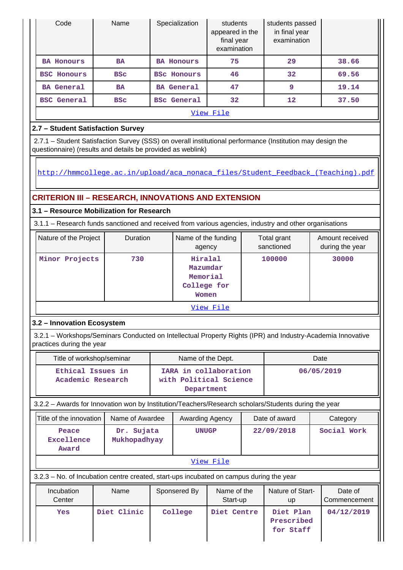| Code               | Name       | Specialization     | students<br>appeared in the<br>final year<br>examination | students passed<br>in final year<br>examination |       |
|--------------------|------------|--------------------|----------------------------------------------------------|-------------------------------------------------|-------|
| <b>BA Honours</b>  | <b>BA</b>  | <b>BA Honours</b>  | 75                                                       | 29                                              | 38.66 |
| <b>BSC Honours</b> | <b>BSC</b> | <b>BSC Honours</b> | 46                                                       | 32                                              | 69.56 |
| <b>BA</b> General  | <b>BA</b>  | <b>BA</b> General  | 47                                                       | 9                                               | 19.14 |
| <b>BSC</b> General | <b>BSC</b> | <b>BSc General</b> | 32                                                       | $12 \overline{ }$                               | 37.50 |
| View File          |            |                    |                                                          |                                                 |       |

# **2.7 – Student Satisfaction Survey**

 $\overline{1}$ 

 2.7.1 – Student Satisfaction Survey (SSS) on overall institutional performance (Institution may design the questionnaire) (results and details be provided as weblink)

[http://hmmcollege.ac.in/upload/aca\\_nonaca\\_files/Student\\_Feedback\\_\(Teaching\).pdf](http://hmmcollege.ac.in/upload/aca_nonaca_files/Student_Feedback_(Teaching).pdf)

# **CRITERION III – RESEARCH, INNOVATIONS AND EXTENSION**

# **3.1 – Resource Mobilization for Research**

3.1.1 – Research funds sanctioned and received from various agencies, industry and other organisations

| Nature of the Project | Duration | Name of the funding<br>agency                           | Total grant<br>sanctioned | Amount received<br>during the year |  |  |
|-----------------------|----------|---------------------------------------------------------|---------------------------|------------------------------------|--|--|
| Minor Projects        | 730      | Hiralal<br>Mazumdar<br>Memorial<br>College for<br>Women | 100000                    | 30000                              |  |  |
| View File             |          |                                                         |                           |                                    |  |  |

# **3.2 – Innovation Ecosystem**

 3.2.1 – Workshops/Seminars Conducted on Intellectual Property Rights (IPR) and Industry-Academia Innovative practices during the year

| Title of workshop/seminar              | Name of the Dept.                                             | Date       |
|----------------------------------------|---------------------------------------------------------------|------------|
| Ethical Issues in<br>Academic Research | IARA in collaboration<br>with Political Science<br>Department | 06/05/2019 |

# 3.2.2 – Awards for Innovation won by Institution/Teachers/Research scholars/Students during the year

|                                                                                         | Title of the innovation      | Name of Awardee            |  | Awarding Agency        |  |                                                          | Date of award                        | Category                |  |
|-----------------------------------------------------------------------------------------|------------------------------|----------------------------|--|------------------------|--|----------------------------------------------------------|--------------------------------------|-------------------------|--|
|                                                                                         | Peace<br>Excellence<br>Award | Dr. Sujata<br>Mukhopadhyay |  | <b>UNUGP</b>           |  |                                                          | 22/09/2018                           | Social Work             |  |
|                                                                                         | View File                    |                            |  |                        |  |                                                          |                                      |                         |  |
| 3.2.3 – No. of Incubation centre created, start-ups incubated on campus during the year |                              |                            |  |                        |  |                                                          |                                      |                         |  |
|                                                                                         | Incubation<br>Center         | Name                       |  | Sponsered By           |  | Name of the<br>Nature of Start-<br>Start-up<br><b>up</b> |                                      | Date of<br>Commencement |  |
|                                                                                         | <b>Yes</b>                   | Diet Clinic                |  | College<br>Diet Centre |  |                                                          | Diet Plan<br>Prescribed<br>for Staff | 04/12/2019              |  |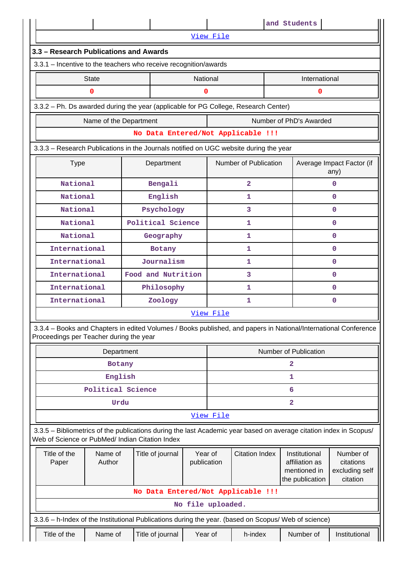|                                                                                                                                                                       |                                        |                    |                   | and Students                                    |                                    |  |                                                                    |                                                      |  |
|-----------------------------------------------------------------------------------------------------------------------------------------------------------------------|----------------------------------------|--------------------|-------------------|-------------------------------------------------|------------------------------------|--|--------------------------------------------------------------------|------------------------------------------------------|--|
| View File                                                                                                                                                             |                                        |                    |                   |                                                 |                                    |  |                                                                    |                                                      |  |
|                                                                                                                                                                       | 3.3 - Research Publications and Awards |                    |                   |                                                 |                                    |  |                                                                    |                                                      |  |
| 3.3.1 – Incentive to the teachers who receive recognition/awards                                                                                                      |                                        |                    |                   |                                                 |                                    |  |                                                                    |                                                      |  |
| <b>State</b>                                                                                                                                                          | National                               |                    |                   |                                                 |                                    |  | International                                                      |                                                      |  |
| 0                                                                                                                                                                     |                                        |                    | $\Omega$          |                                                 |                                    |  | 0                                                                  |                                                      |  |
| 3.3.2 - Ph. Ds awarded during the year (applicable for PG College, Research Center)                                                                                   |                                        |                    |                   |                                                 |                                    |  |                                                                    |                                                      |  |
| Name of the Department                                                                                                                                                |                                        |                    |                   |                                                 |                                    |  | Number of PhD's Awarded                                            |                                                      |  |
|                                                                                                                                                                       | No Data Entered/Not Applicable !!!     |                    |                   |                                                 |                                    |  |                                                                    |                                                      |  |
| 3.3.3 - Research Publications in the Journals notified on UGC website during the year                                                                                 |                                        |                    |                   |                                                 |                                    |  |                                                                    |                                                      |  |
| <b>Type</b>                                                                                                                                                           |                                        | Department         |                   |                                                 | Number of Publication              |  |                                                                    | Average Impact Factor (if<br>any)                    |  |
| National                                                                                                                                                              |                                        | Bengali            |                   |                                                 | $\overline{\mathbf{2}}$            |  |                                                                    | 0                                                    |  |
| National                                                                                                                                                              |                                        | English            |                   |                                                 | 1                                  |  |                                                                    | $\Omega$                                             |  |
| <b>National</b>                                                                                                                                                       |                                        | Psychology         |                   |                                                 | 3                                  |  |                                                                    | $\Omega$                                             |  |
| National                                                                                                                                                              |                                        | Political Science  |                   |                                                 | 1                                  |  |                                                                    | $\Omega$                                             |  |
| National                                                                                                                                                              |                                        | Geography          |                   |                                                 | 1                                  |  | $\Omega$                                                           |                                                      |  |
| International                                                                                                                                                         |                                        | Botany             |                   |                                                 | 1                                  |  | 0                                                                  |                                                      |  |
| International                                                                                                                                                         |                                        | Journalism         |                   |                                                 | 1                                  |  |                                                                    | $\Omega$                                             |  |
| International                                                                                                                                                         |                                        | Food and Nutrition |                   |                                                 | 3                                  |  | 0                                                                  |                                                      |  |
| International                                                                                                                                                         |                                        | Philosophy         |                   |                                                 | 1                                  |  |                                                                    | 0                                                    |  |
| International                                                                                                                                                         |                                        | Zoology            |                   | 1                                               |                                    |  |                                                                    | $\Omega$                                             |  |
|                                                                                                                                                                       |                                        |                    |                   | View File                                       |                                    |  |                                                                    |                                                      |  |
| 3.3.4 – Books and Chapters in edited Volumes / Books published, and papers in National/International Conference<br>Proceedings per Teacher during the year            |                                        |                    |                   |                                                 |                                    |  |                                                                    |                                                      |  |
| Department                                                                                                                                                            |                                        |                    |                   | Number of Publication                           |                                    |  |                                                                    |                                                      |  |
| Botany                                                                                                                                                                |                                        |                    |                   |                                                 |                                    |  | 2                                                                  |                                                      |  |
| English                                                                                                                                                               |                                        |                    |                   |                                                 |                                    |  | 1                                                                  |                                                      |  |
| Political Science                                                                                                                                                     |                                        |                    |                   |                                                 |                                    |  | 6                                                                  |                                                      |  |
| Urdu                                                                                                                                                                  |                                        |                    |                   |                                                 |                                    |  | $\mathbf{2}$                                                       |                                                      |  |
|                                                                                                                                                                       |                                        |                    |                   | View File                                       |                                    |  |                                                                    |                                                      |  |
| 3.3.5 - Bibliometrics of the publications during the last Academic year based on average citation index in Scopus/<br>Web of Science or PubMed/ Indian Citation Index |                                        |                    |                   |                                                 |                                    |  |                                                                    |                                                      |  |
| Title of the<br>Name of<br>Author<br>Paper                                                                                                                            |                                        | Title of journal   |                   | <b>Citation Index</b><br>Year of<br>publication |                                    |  | Institutional<br>affiliation as<br>mentioned in<br>the publication | Number of<br>citations<br>excluding self<br>citation |  |
|                                                                                                                                                                       |                                        |                    |                   |                                                 | No Data Entered/Not Applicable !!! |  |                                                                    |                                                      |  |
|                                                                                                                                                                       |                                        |                    | No file uploaded. |                                                 |                                    |  |                                                                    |                                                      |  |
| 3.3.6 - h-Index of the Institutional Publications during the year. (based on Scopus/ Web of science)                                                                  |                                        |                    |                   |                                                 |                                    |  |                                                                    |                                                      |  |
| Title of the<br>Name of                                                                                                                                               |                                        | Title of journal   | Year of           |                                                 | h-index                            |  | Number of                                                          | Institutional                                        |  |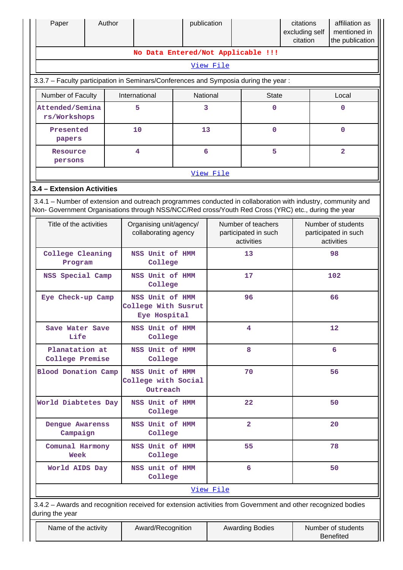|                                    | Paper                                                                               | Author |                                                                                                                                                                                                                    |                                                 | publication            |                                                          | citations<br>excluding self<br>citation |                                                          | affiliation as<br>mentioned in<br>the publication |
|------------------------------------|-------------------------------------------------------------------------------------|--------|--------------------------------------------------------------------------------------------------------------------------------------------------------------------------------------------------------------------|-------------------------------------------------|------------------------|----------------------------------------------------------|-----------------------------------------|----------------------------------------------------------|---------------------------------------------------|
| No Data Entered/Not Applicable !!! |                                                                                     |        |                                                                                                                                                                                                                    |                                                 |                        |                                                          |                                         |                                                          |                                                   |
|                                    | View File                                                                           |        |                                                                                                                                                                                                                    |                                                 |                        |                                                          |                                         |                                                          |                                                   |
|                                    | 3.3.7 - Faculty participation in Seminars/Conferences and Symposia during the year: |        |                                                                                                                                                                                                                    |                                                 |                        |                                                          |                                         |                                                          |                                                   |
|                                    | Number of Faculty                                                                   |        | International                                                                                                                                                                                                      | National                                        |                        | <b>State</b>                                             |                                         | Local                                                    |                                                   |
|                                    | Attended/Semina<br>rs/Workshops                                                     |        | 5                                                                                                                                                                                                                  | 3                                               |                        | $\mathbf 0$                                              |                                         |                                                          | 0                                                 |
|                                    | Presented<br>papers                                                                 |        | 10                                                                                                                                                                                                                 | 13                                              |                        | $\mathbf 0$                                              |                                         |                                                          | 0                                                 |
|                                    | Resource<br>persons                                                                 |        | $\overline{\mathbf{4}}$                                                                                                                                                                                            | 6                                               |                        | 5                                                        |                                         |                                                          | $\overline{2}$                                    |
|                                    |                                                                                     |        |                                                                                                                                                                                                                    |                                                 | View File              |                                                          |                                         |                                                          |                                                   |
|                                    | 3.4 - Extension Activities                                                          |        |                                                                                                                                                                                                                    |                                                 |                        |                                                          |                                         |                                                          |                                                   |
|                                    |                                                                                     |        | 3.4.1 – Number of extension and outreach programmes conducted in collaboration with industry, community and<br>Non- Government Organisations through NSS/NCC/Red cross/Youth Red Cross (YRC) etc., during the year |                                                 |                        |                                                          |                                         |                                                          |                                                   |
|                                    | Title of the activities                                                             |        |                                                                                                                                                                                                                    | Organising unit/agency/<br>collaborating agency |                        | Number of teachers<br>participated in such<br>activities |                                         | Number of students<br>participated in such<br>activities |                                                   |
|                                    | College Cleaning<br>Program                                                         |        | NSS Unit of HMM<br>College                                                                                                                                                                                         | 13                                              |                        |                                                          |                                         | 98                                                       |                                                   |
|                                    | NSS Special Camp                                                                    |        | NSS Unit of HMM<br>College                                                                                                                                                                                         |                                                 | 17                     |                                                          |                                         | 102                                                      |                                                   |
|                                    | Eye Check-up Camp                                                                   |        | NSS Unit of HMM<br>College With Susrut<br>Eye Hospital                                                                                                                                                             |                                                 | 96                     |                                                          |                                         | 66                                                       |                                                   |
|                                    | Save Water Save<br>Life                                                             |        | NSS Unit of HMM<br>College                                                                                                                                                                                         |                                                 | 4                      |                                                          |                                         | 12                                                       |                                                   |
|                                    | Planatation at<br>College Premise                                                   |        | NSS Unit of HMM<br>College                                                                                                                                                                                         |                                                 |                        | 8                                                        |                                         |                                                          | 6                                                 |
|                                    | <b>Blood Donation Camp</b>                                                          |        | NSS Unit of HMM<br>College with Social<br>Outreach                                                                                                                                                                 |                                                 |                        | 70                                                       |                                         |                                                          | 56                                                |
|                                    | World Diabtetes Day                                                                 |        | NSS Unit of HMM<br>College                                                                                                                                                                                         |                                                 |                        | 22                                                       |                                         |                                                          | 50                                                |
|                                    | Dengue Awarenss<br>Campaign                                                         |        | NSS Unit of HMM<br>College                                                                                                                                                                                         |                                                 |                        | $\overline{2}$                                           |                                         |                                                          | 20                                                |
|                                    | Comunal Harmony<br>Week                                                             |        | NSS Unit of HMM<br>College                                                                                                                                                                                         |                                                 |                        | 55                                                       |                                         |                                                          | 78                                                |
|                                    | World AIDS Day                                                                      |        | NSS unit of HMM<br>College                                                                                                                                                                                         |                                                 |                        | 6                                                        |                                         |                                                          | 50                                                |
|                                    |                                                                                     |        |                                                                                                                                                                                                                    |                                                 | View File              |                                                          |                                         |                                                          |                                                   |
|                                    | during the year                                                                     |        | 3.4.2 - Awards and recognition received for extension activities from Government and other recognized bodies                                                                                                       |                                                 |                        |                                                          |                                         |                                                          |                                                   |
|                                    | Name of the activity                                                                |        | Award/Recognition                                                                                                                                                                                                  |                                                 | <b>Awarding Bodies</b> |                                                          |                                         | Number of students<br><b>Benefited</b>                   |                                                   |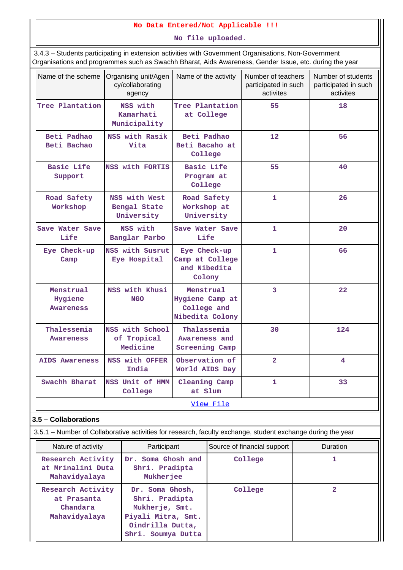## **No Data Entered/Not Applicable !!!**

**No file uploaded.**

 3.4.3 – Students participating in extension activities with Government Organisations, Non-Government Organisations and programmes such as Swachh Bharat, Aids Awareness, Gender Issue, etc. during the year

| Name of the scheme                       | Organising unit/Agen<br>cy/collaborating<br>agency | Name of the activity                                           | Number of teachers<br>participated in such<br>activites | Number of students<br>participated in such<br>activites |
|------------------------------------------|----------------------------------------------------|----------------------------------------------------------------|---------------------------------------------------------|---------------------------------------------------------|
| Tree Plantation                          | NSS with<br>Kamarhati<br>Municipality              | Tree Plantation<br>at College                                  | 55                                                      | 18                                                      |
| Beti Padhao<br>Beti Bachao               | NSS with Rasik<br>Vita                             | Beti Padhao<br>Beti Bacaho at<br>College                       | 12                                                      | 56                                                      |
| <b>Basic Life</b><br>Support             | NSS with FORTIS                                    | <b>Basic Life</b><br>Program at<br>College                     | 55                                                      | 40                                                      |
| Road Safety<br>Workshop                  | NSS with West<br>Bengal State<br>University        | Road Safety<br>Workshop at<br>University                       | 1                                                       | 26                                                      |
| Save Water Save<br>Life                  | NSS with<br>Banglar Parbo                          | Save Water Save<br>Life                                        | 1                                                       | 20                                                      |
| Eye Check-up<br>Camp                     | NSS with Susrut<br>Eye Hospital                    | Eye Check-up<br>Camp at College<br>and Nibedita<br>Colony      | 1                                                       | 66                                                      |
| Menstrual<br>Hygiene<br><b>Awareness</b> | NSS with Khusi<br><b>NGO</b>                       | Menstrual<br>Hygiene Camp at<br>College and<br>Nibedita Colony | 3                                                       | 22                                                      |
| Thalessemia<br><b>Awareness</b>          | NSS with School<br>of Tropical<br>Medicine         | Thalassemia<br>Awareness and<br><b>Screening Camp</b>          | 30                                                      | 124                                                     |
| AIDS Awareness                           | <b>NSS with OFFER</b><br>India                     | Observation of<br>World AIDS Day                               | $\overline{2}$                                          | $\overline{\mathbf{4}}$                                 |
| Swachh Bharat                            | NSS Unit of HMM<br>College                         | Cleaning Camp<br>at Slum                                       | $\mathbf{1}$                                            | 33                                                      |
|                                          |                                                    | View File                                                      |                                                         |                                                         |

# **3.5 – Collaborations**

3.5.1 – Number of Collaborative activities for research, faculty exchange, student exchange during the year

| Nature of activity                                            | Participant                                                                                                         | Source of financial support | <b>Duration</b> |
|---------------------------------------------------------------|---------------------------------------------------------------------------------------------------------------------|-----------------------------|-----------------|
| Research Activity<br>at Mrinalini Duta<br>Mahavidyalaya       | Dr. Soma Ghosh and<br>Shri. Pradipta<br><b>Mukherjee</b>                                                            | College                     |                 |
| Research Activity<br>at Prasanta<br>Chandara<br>Mahavidyalaya | Dr. Soma Ghosh,<br>Shri. Pradipta<br>Mukherje, Smt.<br>Piyali Mitra, Smt.<br>Oindrilla Dutta,<br>Shri. Soumya Dutta | College                     | 2               |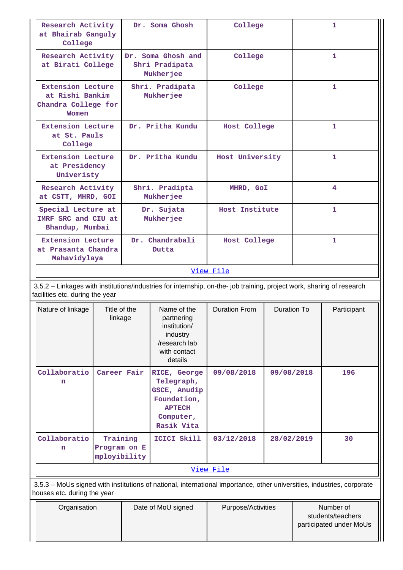| Research Activity<br>at Bhairab Ganguly<br>College                                                                     |                                                                                                                                                          |  | Dr. Soma Ghosh                                                                                        | College              |                    |   | 1                                                         |
|------------------------------------------------------------------------------------------------------------------------|----------------------------------------------------------------------------------------------------------------------------------------------------------|--|-------------------------------------------------------------------------------------------------------|----------------------|--------------------|---|-----------------------------------------------------------|
| Research Activity<br>at Birati College                                                                                 |                                                                                                                                                          |  | Dr. Soma Ghosh and<br>Shri Pradipata<br><b>Mukherjee</b>                                              | College              |                    |   | 1                                                         |
| <b>Extension Lecture</b><br>at Rishi Bankim<br>Chandra College for<br>Women                                            |                                                                                                                                                          |  | Shri. Pradipata<br><b>Mukherjee</b>                                                                   | College              |                    |   | 1                                                         |
| Extension Lecture<br>at St. Pauls<br>College                                                                           |                                                                                                                                                          |  | Dr. Pritha Kundu                                                                                      | Host College         |                    |   | $\mathbf{1}$                                              |
| Extension Lecture<br>at Presidency<br>Univeristy                                                                       |                                                                                                                                                          |  | Dr. Pritha Kundu                                                                                      | Host University      |                    |   | $\mathbf{1}$                                              |
| Research Activity<br>at CSTT, MHRD, GOI                                                                                |                                                                                                                                                          |  | Shri. Pradipta<br><b>Mukherjee</b>                                                                    | MHRD, GOI            |                    |   | 4                                                         |
| Special Lecture at<br>IMRF SRC and CIU at<br>Bhandup, Mumbai                                                           |                                                                                                                                                          |  | Dr. Sujata<br><b>Mukherjee</b>                                                                        | Host Institute       |                    | 1 |                                                           |
| <b>Extension Lecture</b><br>at Prasanta Chandra<br>Mahavidylaya                                                        |                                                                                                                                                          |  | Dr. Chandrabali<br>Dutta                                                                              | Host College         |                    | 1 |                                                           |
|                                                                                                                        |                                                                                                                                                          |  |                                                                                                       | <u>View File</u>     |                    |   |                                                           |
|                                                                                                                        | 3.5.2 - Linkages with institutions/industries for internship, on-the- job training, project work, sharing of research<br>facilities etc. during the year |  |                                                                                                       |                      |                    |   |                                                           |
| Nature of linkage                                                                                                      | Title of the<br>linkage                                                                                                                                  |  | Name of the<br>partnering<br>institution/<br>industry<br>/research lab<br>with contact<br>details     | <b>Duration From</b> | <b>Duration To</b> |   | Participant                                               |
| Collaboratio<br>n                                                                                                      | Career Fair                                                                                                                                              |  | RICE, George<br>Telegraph,<br>GSCE, Anudip<br>Foundation,<br><b>APTECH</b><br>Computer,<br>Rasik Vita | 09/08/2018           | 09/08/2018         |   | 196                                                       |
| Collaboratio<br>n                                                                                                      | Training<br>Program on E<br>mployibility                                                                                                                 |  | ICICI Skill                                                                                           | 03/12/2018           | 28/02/2019         |   | 30                                                        |
|                                                                                                                        |                                                                                                                                                          |  |                                                                                                       | View File            |                    |   |                                                           |
| 3.5.3 - MoUs signed with institutions of national, international importance, other universities, industries, corporate |                                                                                                                                                          |  |                                                                                                       |                      |                    |   |                                                           |
| houses etc. during the year<br>Organisation                                                                            |                                                                                                                                                          |  | Date of MoU signed                                                                                    | Purpose/Activities   |                    |   | Number of<br>students/teachers<br>participated under MoUs |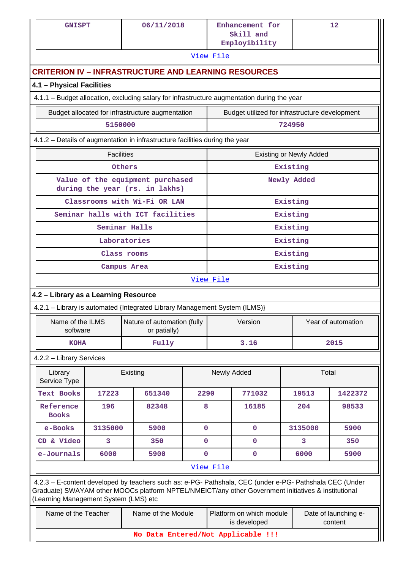| <b>GNISPT</b>                                                                     |                           | 06/11/2018                                                                                                                                                                                                     |             | 12<br>Enhancement for<br>Skill and<br>Employibility |                                                |          |                                 |  |
|-----------------------------------------------------------------------------------|---------------------------|----------------------------------------------------------------------------------------------------------------------------------------------------------------------------------------------------------------|-------------|-----------------------------------------------------|------------------------------------------------|----------|---------------------------------|--|
|                                                                                   |                           |                                                                                                                                                                                                                |             | View File                                           |                                                |          |                                 |  |
| <b>CRITERION IV - INFRASTRUCTURE AND LEARNING RESOURCES</b>                       |                           |                                                                                                                                                                                                                |             |                                                     |                                                |          |                                 |  |
|                                                                                   | 4.1 - Physical Facilities |                                                                                                                                                                                                                |             |                                                     |                                                |          |                                 |  |
|                                                                                   |                           | 4.1.1 - Budget allocation, excluding salary for infrastructure augmentation during the year                                                                                                                    |             |                                                     |                                                |          |                                 |  |
|                                                                                   |                           | Budget allocated for infrastructure augmentation                                                                                                                                                               |             |                                                     | Budget utilized for infrastructure development |          |                                 |  |
|                                                                                   | 5150000                   |                                                                                                                                                                                                                |             |                                                     |                                                | 724950   |                                 |  |
|                                                                                   |                           | 4.1.2 - Details of augmentation in infrastructure facilities during the year                                                                                                                                   |             |                                                     |                                                |          |                                 |  |
| <b>Facilities</b><br><b>Existing or Newly Added</b>                               |                           |                                                                                                                                                                                                                |             |                                                     |                                                |          |                                 |  |
|                                                                                   |                           | Others                                                                                                                                                                                                         |             |                                                     |                                                | Existing |                                 |  |
| Value of the equipment purchased<br>Newly Added<br>during the year (rs. in lakhs) |                           |                                                                                                                                                                                                                |             |                                                     |                                                |          |                                 |  |
|                                                                                   |                           | Classrooms with Wi-Fi OR LAN                                                                                                                                                                                   |             |                                                     |                                                | Existing |                                 |  |
|                                                                                   |                           | Seminar halls with ICT facilities                                                                                                                                                                              |             |                                                     |                                                | Existing |                                 |  |
|                                                                                   |                           | Seminar Halls                                                                                                                                                                                                  |             |                                                     |                                                | Existing |                                 |  |
|                                                                                   |                           | Laboratories                                                                                                                                                                                                   | Existing    |                                                     |                                                |          |                                 |  |
| Class rooms                                                                       |                           |                                                                                                                                                                                                                |             |                                                     |                                                | Existing |                                 |  |
|                                                                                   |                           | Campus Area                                                                                                                                                                                                    |             |                                                     |                                                | Existing |                                 |  |
|                                                                                   |                           |                                                                                                                                                                                                                |             | View File                                           |                                                |          |                                 |  |
| 4.2 - Library as a Learning Resource                                              |                           |                                                                                                                                                                                                                |             |                                                     |                                                |          |                                 |  |
|                                                                                   |                           | 4.2.1 - Library is automated {Integrated Library Management System (ILMS)}                                                                                                                                     |             |                                                     |                                                |          |                                 |  |
| Name of the ILMS<br>software                                                      |                           | Nature of automation (fully<br>or patially)                                                                                                                                                                    |             |                                                     | Version                                        |          | Year of automation              |  |
| <b>KOHA</b>                                                                       |                           | Fully                                                                                                                                                                                                          |             |                                                     | 3.16                                           |          | 2015                            |  |
| 4.2.2 - Library Services                                                          |                           |                                                                                                                                                                                                                |             |                                                     |                                                |          |                                 |  |
| Library<br>Service Type                                                           |                           | Existing                                                                                                                                                                                                       |             |                                                     | Newly Added                                    | Total    |                                 |  |
| Text Books                                                                        | 17223                     | 651340                                                                                                                                                                                                         | 2290        |                                                     | 771032                                         | 19513    | 1422372                         |  |
| Reference<br><b>Books</b>                                                         | 196                       | 82348                                                                                                                                                                                                          | 8           |                                                     | 16185                                          | 204      | 98533                           |  |
| e-Books                                                                           | 3135000                   | 5900                                                                                                                                                                                                           | $\mathbf 0$ |                                                     | $\mathbf 0$                                    | 3135000  | 5900                            |  |
| CD & Video                                                                        | 3                         | 350                                                                                                                                                                                                            | $\mathbf 0$ |                                                     | $\mathbf 0$                                    | 3        | 350                             |  |
| e-Journals                                                                        | 6000                      | 5900                                                                                                                                                                                                           | $\mathbf 0$ |                                                     | $\mathbf 0$                                    | 6000     | 5900                            |  |
|                                                                                   |                           |                                                                                                                                                                                                                |             | View File                                           |                                                |          |                                 |  |
| (Learning Management System (LMS) etc                                             |                           | 4.2.3 - E-content developed by teachers such as: e-PG- Pathshala, CEC (under e-PG- Pathshala CEC (Under<br>Graduate) SWAYAM other MOOCs platform NPTEL/NMEICT/any other Government initiatives & institutional |             |                                                     |                                                |          |                                 |  |
| Name of the Teacher                                                               |                           | Name of the Module                                                                                                                                                                                             |             |                                                     | Platform on which module<br>is developed       |          | Date of launching e-<br>content |  |
| No Data Entered/Not Applicable !!!                                                |                           |                                                                                                                                                                                                                |             |                                                     |                                                |          |                                 |  |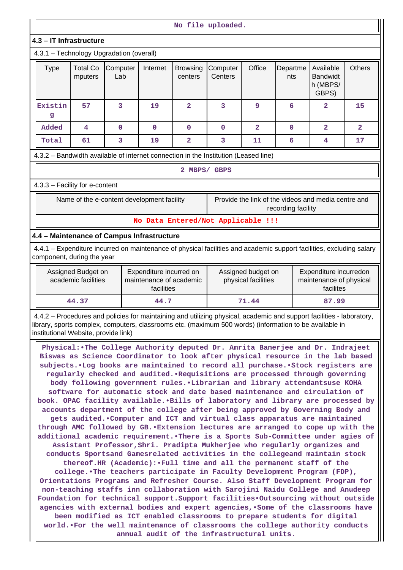|                                                                                                                                                                                                                                                                                                                                                                                                                                                                                                                                                                                                                                                                                                                                                                                                                                                                                                                                                                                                                                                                                                                                                                                                                                                                                                                                                                                                                                                                                                                                                                                                                                                                                                                                                                                                                                                                                                                                                                                                                                                                     | No file uploaded.                         |                                            |                                                                  |                            |                                                                                                       |                                           |                    |                                                                |               |
|---------------------------------------------------------------------------------------------------------------------------------------------------------------------------------------------------------------------------------------------------------------------------------------------------------------------------------------------------------------------------------------------------------------------------------------------------------------------------------------------------------------------------------------------------------------------------------------------------------------------------------------------------------------------------------------------------------------------------------------------------------------------------------------------------------------------------------------------------------------------------------------------------------------------------------------------------------------------------------------------------------------------------------------------------------------------------------------------------------------------------------------------------------------------------------------------------------------------------------------------------------------------------------------------------------------------------------------------------------------------------------------------------------------------------------------------------------------------------------------------------------------------------------------------------------------------------------------------------------------------------------------------------------------------------------------------------------------------------------------------------------------------------------------------------------------------------------------------------------------------------------------------------------------------------------------------------------------------------------------------------------------------------------------------------------------------|-------------------------------------------|--------------------------------------------|------------------------------------------------------------------|----------------------------|-------------------------------------------------------------------------------------------------------|-------------------------------------------|--------------------|----------------------------------------------------------------|---------------|
| 4.3 - IT Infrastructure                                                                                                                                                                                                                                                                                                                                                                                                                                                                                                                                                                                                                                                                                                                                                                                                                                                                                                                                                                                                                                                                                                                                                                                                                                                                                                                                                                                                                                                                                                                                                                                                                                                                                                                                                                                                                                                                                                                                                                                                                                             |                                           |                                            |                                                                  |                            |                                                                                                       |                                           |                    |                                                                |               |
| 4.3.1 - Technology Upgradation (overall)                                                                                                                                                                                                                                                                                                                                                                                                                                                                                                                                                                                                                                                                                                                                                                                                                                                                                                                                                                                                                                                                                                                                                                                                                                                                                                                                                                                                                                                                                                                                                                                                                                                                                                                                                                                                                                                                                                                                                                                                                            |                                           |                                            |                                                                  |                            |                                                                                                       |                                           |                    |                                                                |               |
| <b>Type</b>                                                                                                                                                                                                                                                                                                                                                                                                                                                                                                                                                                                                                                                                                                                                                                                                                                                                                                                                                                                                                                                                                                                                                                                                                                                                                                                                                                                                                                                                                                                                                                                                                                                                                                                                                                                                                                                                                                                                                                                                                                                         | <b>Total Co</b><br>mputers                | Computer<br>Lab                            | Internet                                                         | <b>Browsing</b><br>centers | Office<br>Available<br>Computer<br>Departme<br><b>Bandwidt</b><br>Centers<br>nts<br>h (MBPS/<br>GBPS) |                                           |                    |                                                                | <b>Others</b> |
| Existin<br>g                                                                                                                                                                                                                                                                                                                                                                                                                                                                                                                                                                                                                                                                                                                                                                                                                                                                                                                                                                                                                                                                                                                                                                                                                                                                                                                                                                                                                                                                                                                                                                                                                                                                                                                                                                                                                                                                                                                                                                                                                                                        | 57                                        | 3                                          | 19                                                               | $\overline{a}$             | $\overline{3}$                                                                                        | 9                                         | 6                  | $\overline{2}$                                                 | 15            |
| Added                                                                                                                                                                                                                                                                                                                                                                                                                                                                                                                                                                                                                                                                                                                                                                                                                                                                                                                                                                                                                                                                                                                                                                                                                                                                                                                                                                                                                                                                                                                                                                                                                                                                                                                                                                                                                                                                                                                                                                                                                                                               | 4                                         | 0                                          | $\mathbf 0$                                                      | 0                          | 0                                                                                                     | $\overline{2}$                            | 0                  | $\mathbf{2}$                                                   | 2             |
| Total                                                                                                                                                                                                                                                                                                                                                                                                                                                                                                                                                                                                                                                                                                                                                                                                                                                                                                                                                                                                                                                                                                                                                                                                                                                                                                                                                                                                                                                                                                                                                                                                                                                                                                                                                                                                                                                                                                                                                                                                                                                               | 61                                        | 3                                          | 19                                                               | $\mathbf{2}$               | 3                                                                                                     | 11                                        | 6                  | 4                                                              | 17            |
| 4.3.2 - Bandwidth available of internet connection in the Institution (Leased line)                                                                                                                                                                                                                                                                                                                                                                                                                                                                                                                                                                                                                                                                                                                                                                                                                                                                                                                                                                                                                                                                                                                                                                                                                                                                                                                                                                                                                                                                                                                                                                                                                                                                                                                                                                                                                                                                                                                                                                                 |                                           |                                            |                                                                  |                            |                                                                                                       |                                           |                    |                                                                |               |
|                                                                                                                                                                                                                                                                                                                                                                                                                                                                                                                                                                                                                                                                                                                                                                                                                                                                                                                                                                                                                                                                                                                                                                                                                                                                                                                                                                                                                                                                                                                                                                                                                                                                                                                                                                                                                                                                                                                                                                                                                                                                     |                                           |                                            |                                                                  | 2 MBPS/ GBPS               |                                                                                                       |                                           |                    |                                                                |               |
| 4.3.3 - Facility for e-content                                                                                                                                                                                                                                                                                                                                                                                                                                                                                                                                                                                                                                                                                                                                                                                                                                                                                                                                                                                                                                                                                                                                                                                                                                                                                                                                                                                                                                                                                                                                                                                                                                                                                                                                                                                                                                                                                                                                                                                                                                      |                                           |                                            |                                                                  |                            |                                                                                                       |                                           |                    |                                                                |               |
|                                                                                                                                                                                                                                                                                                                                                                                                                                                                                                                                                                                                                                                                                                                                                                                                                                                                                                                                                                                                                                                                                                                                                                                                                                                                                                                                                                                                                                                                                                                                                                                                                                                                                                                                                                                                                                                                                                                                                                                                                                                                     |                                           | Name of the e-content development facility |                                                                  |                            |                                                                                                       |                                           | recording facility | Provide the link of the videos and media centre and            |               |
|                                                                                                                                                                                                                                                                                                                                                                                                                                                                                                                                                                                                                                                                                                                                                                                                                                                                                                                                                                                                                                                                                                                                                                                                                                                                                                                                                                                                                                                                                                                                                                                                                                                                                                                                                                                                                                                                                                                                                                                                                                                                     |                                           |                                            |                                                                  |                            | No Data Entered/Not Applicable !!!                                                                    |                                           |                    |                                                                |               |
| 4.4 - Maintenance of Campus Infrastructure                                                                                                                                                                                                                                                                                                                                                                                                                                                                                                                                                                                                                                                                                                                                                                                                                                                                                                                                                                                                                                                                                                                                                                                                                                                                                                                                                                                                                                                                                                                                                                                                                                                                                                                                                                                                                                                                                                                                                                                                                          |                                           |                                            |                                                                  |                            |                                                                                                       |                                           |                    |                                                                |               |
| 4.4.1 – Expenditure incurred on maintenance of physical facilities and academic support facilities, excluding salary<br>component, during the year                                                                                                                                                                                                                                                                                                                                                                                                                                                                                                                                                                                                                                                                                                                                                                                                                                                                                                                                                                                                                                                                                                                                                                                                                                                                                                                                                                                                                                                                                                                                                                                                                                                                                                                                                                                                                                                                                                                  |                                           |                                            |                                                                  |                            |                                                                                                       |                                           |                    |                                                                |               |
|                                                                                                                                                                                                                                                                                                                                                                                                                                                                                                                                                                                                                                                                                                                                                                                                                                                                                                                                                                                                                                                                                                                                                                                                                                                                                                                                                                                                                                                                                                                                                                                                                                                                                                                                                                                                                                                                                                                                                                                                                                                                     | Assigned Budget on<br>academic facilities |                                            | Expenditure incurred on<br>maintenance of academic<br>facilities |                            |                                                                                                       | Assigned budget on<br>physical facilities |                    | Expenditure incurredon<br>maintenance of physical<br>facilites |               |
|                                                                                                                                                                                                                                                                                                                                                                                                                                                                                                                                                                                                                                                                                                                                                                                                                                                                                                                                                                                                                                                                                                                                                                                                                                                                                                                                                                                                                                                                                                                                                                                                                                                                                                                                                                                                                                                                                                                                                                                                                                                                     | 44.37                                     |                                            | 44.7                                                             |                            |                                                                                                       | 71.44                                     |                    | 87.99                                                          |               |
|                                                                                                                                                                                                                                                                                                                                                                                                                                                                                                                                                                                                                                                                                                                                                                                                                                                                                                                                                                                                                                                                                                                                                                                                                                                                                                                                                                                                                                                                                                                                                                                                                                                                                                                                                                                                                                                                                                                                                                                                                                                                     |                                           |                                            |                                                                  |                            |                                                                                                       |                                           |                    |                                                                |               |
| 4.4.2 - Procedures and policies for maintaining and utilizing physical, academic and support facilities - laboratory,<br>library, sports complex, computers, classrooms etc. (maximum 500 words) (information to be available in<br>institutional Website, provide link)<br>Physical: The College Authority deputed Dr. Amrita Banerjee and Dr. Indrajeet<br>Biswas as Science Coordinator to look after physical resource in the lab based<br>subjects. •Log books are maintained to record all purchase. • Stock registers are<br>regularly checked and audited. Requisitions are processed through governing<br>body following government rules. .Librarian and library attendantsuse KOHA<br>software for automatic stock and date based maintenance and circulation of<br>book. OPAC facility available. Bills of laboratory and library are processed by<br>accounts department of the college after being approved by Governing Body and<br>gets audited. Computer and ICT and virtual class apparatus are maintained<br>through AMC followed by GB. *Extension lectures are arranged to cope up with the<br>additional academic requirement. There is a Sports Sub-Committee under agies of<br>Assistant Professor, Shri. Pradipta Mukherjee who regularly organizes and<br>conducts Sportsand Gamesrelated activities in the collegeand maintain stock<br>thereof.HR (Academic): Full time and all the permanent staff of the<br>college. The teachers participate in Faculty Development Program (FDP),<br>Orientations Programs and Refresher Course. Also Staff Development Program for<br>non-teaching staffs inn collaboration with Sarojini Naidu College and Anudeep<br>Foundation for technical support. Support facilities Outsourcing without outside<br>agencies with external bodies and expert agencies, Some of the classrooms have<br>been modified as ICT enabled classrooms to prepare students for digital<br>world. For the well maintenance of classrooms the college authority conducts<br>annual audit of the infrastructural units. |                                           |                                            |                                                                  |                            |                                                                                                       |                                           |                    |                                                                |               |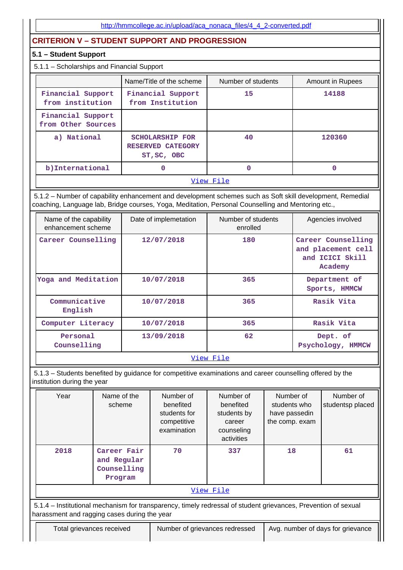# **CRITERION V – STUDENT SUPPORT AND PROGRESSION**

#### **5.1 – Student Support**

## 5.1.1 – Scholarships and Financial Support

|                                         | Name/Title of the scheme                                   | Number of students | Amount in Rupees |  |  |  |  |  |
|-----------------------------------------|------------------------------------------------------------|--------------------|------------------|--|--|--|--|--|
| Financial Support<br>from institution   | Financial Support<br>from Institution                      | 15                 | 14188            |  |  |  |  |  |
| Financial Support<br>from Other Sources |                                                            |                    |                  |  |  |  |  |  |
| a) National                             | <b>SCHOLARSHIP FOR</b><br>RESERVED CATEGORY<br>ST, SC, OBC | 40                 | 120360           |  |  |  |  |  |
| b) International                        | 0                                                          | $\Omega$           | 0                |  |  |  |  |  |
|                                         | View File                                                  |                    |                  |  |  |  |  |  |

 5.1.2 – Number of capability enhancement and development schemes such as Soft skill development, Remedial coaching, Language lab, Bridge courses, Yoga, Meditation, Personal Counselling and Mentoring etc.,

| Name of the capability<br>enhancement scheme | Date of implemetation | Number of students<br>enrolled | Agencies involved                                                      |  |  |  |  |
|----------------------------------------------|-----------------------|--------------------------------|------------------------------------------------------------------------|--|--|--|--|
| Career Counselling                           | 12/07/2018            | 180                            | Career Counselling<br>and placement cell<br>and ICICI Skill<br>Academy |  |  |  |  |
| Yoga and Meditation                          | 10/07/2018            | 365                            | Department of<br>Sports, HMMCW                                         |  |  |  |  |
| Communicative<br>English                     | 10/07/2018            | 365                            | Rasik Vita                                                             |  |  |  |  |
| Computer Literacy                            | 10/07/2018            | 365                            | Rasik Vita                                                             |  |  |  |  |
| Personal<br>Counselling                      | 13/09/2018            | 62                             | Dept. of<br>Psychology, HMMCW                                          |  |  |  |  |
| View File                                    |                       |                                |                                                                        |  |  |  |  |

 5.1.3 – Students benefited by guidance for competitive examinations and career counselling offered by the institution during the year

|                                                                                                  | Year                                                                                                                                                           | Name of the<br>scheme                                | Number of<br>benefited<br>students for<br>competitive<br>examination | Number of<br>benefited<br>students by<br>career<br>counseling<br>activities | Number of<br>students who<br>have passedin<br>the comp. exam | Number of<br>studentsp placed |  |  |  |
|--------------------------------------------------------------------------------------------------|----------------------------------------------------------------------------------------------------------------------------------------------------------------|------------------------------------------------------|----------------------------------------------------------------------|-----------------------------------------------------------------------------|--------------------------------------------------------------|-------------------------------|--|--|--|
|                                                                                                  | 2018                                                                                                                                                           | Career Fair<br>and Regular<br>Counselling<br>Program | 70                                                                   | 337                                                                         | 18                                                           | 61                            |  |  |  |
|                                                                                                  | View File                                                                                                                                                      |                                                      |                                                                      |                                                                             |                                                              |                               |  |  |  |
|                                                                                                  | 5.1.4 – Institutional mechanism for transparency, timely redressal of student grievances, Prevention of sexual<br>harassment and ragging cases during the year |                                                      |                                                                      |                                                                             |                                                              |                               |  |  |  |
| Avg. number of days for grievance<br>Number of grievances redressed<br>Total grievances received |                                                                                                                                                                |                                                      |                                                                      |                                                                             |                                                              |                               |  |  |  |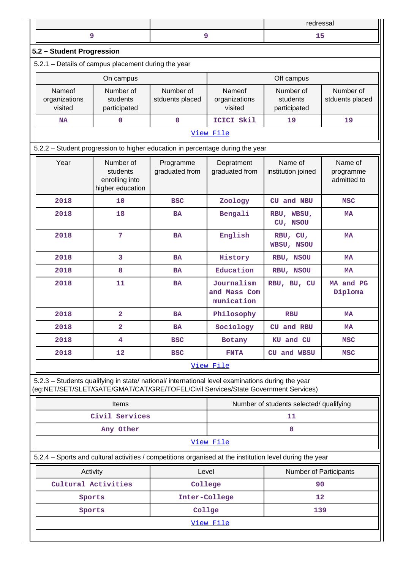| 9<br>9<br>15<br>5.2 - Student Progression<br>5.2.1 – Details of campus placement during the year<br>Off campus<br>On campus<br>Number of<br>Number of<br>Number of<br>Number of<br>Nameof<br>Nameof<br>organizations<br>students<br>stduents placed<br>organizations<br>students<br>stduents placed<br>visited<br>participated<br>visited<br>participated<br>ICICI Skil<br>$\mathbf 0$<br>$\mathbf 0$<br>19<br>19<br><b>NA</b><br>View File<br>5.2.2 - Student progression to higher education in percentage during the year<br>Year<br>Name of<br>Name of<br>Number of<br>Depratment<br>Programme<br>graduated from<br>graduated from<br>students<br>institution joined<br>programme<br>enrolling into<br>admitted to<br>higher education<br>2018<br>10<br>Zoology<br>CU and NBU<br><b>BSC</b><br><b>MSC</b><br>2018<br>18<br>Bengali<br><b>BA</b><br>RBU, WBSU,<br><b>MA</b><br>CU, NSOU<br>2018<br>7<br>English<br>RBU, CU,<br><b>BA</b><br><b>MA</b><br>WBSU, NSOU<br>3<br>2018<br>History<br>RBU, NSOU<br><b>BA</b><br><b>MA</b><br>8<br>Education<br>2018<br><b>BA</b><br>RBU, NSOU<br>MA<br>2018<br>11<br>Journalism<br>RBU, BU, CU<br>MA and PG<br><b>BA</b><br>and Mass Com<br>Diploma<br>munication<br>$\overline{2}$<br>2018<br>Philosophy<br><b>BA</b><br><b>RBU</b><br><b>MA</b><br>2018<br>Sociology<br>$\overline{\mathbf{2}}$<br>CU and RBU<br><b>BA</b><br><b>MA</b><br>2018<br>4<br><b>BSC</b><br>KU and CU<br>Botany<br><b>MSC</b><br>12<br>CU and WBSU<br>2018<br><b>BSC</b><br><b>FNTA</b><br><b>MSC</b><br>View File<br>5.2.3 - Students qualifying in state/ national/ international level examinations during the year<br>(eg:NET/SET/SLET/GATE/GMAT/CAT/GRE/TOFEL/Civil Services/State Government Services)<br>Items<br>Number of students selected/ qualifying<br>Civil Services<br>11<br>Any Other<br>8<br>View File<br>5.2.4 - Sports and cultural activities / competitions organised at the institution level during the year |  |  |       |  | redressal                     |  |  |  |  |  |
|-------------------------------------------------------------------------------------------------------------------------------------------------------------------------------------------------------------------------------------------------------------------------------------------------------------------------------------------------------------------------------------------------------------------------------------------------------------------------------------------------------------------------------------------------------------------------------------------------------------------------------------------------------------------------------------------------------------------------------------------------------------------------------------------------------------------------------------------------------------------------------------------------------------------------------------------------------------------------------------------------------------------------------------------------------------------------------------------------------------------------------------------------------------------------------------------------------------------------------------------------------------------------------------------------------------------------------------------------------------------------------------------------------------------------------------------------------------------------------------------------------------------------------------------------------------------------------------------------------------------------------------------------------------------------------------------------------------------------------------------------------------------------------------------------------------------------------------------------------------------------------------------------------------------------------------------------------------|--|--|-------|--|-------------------------------|--|--|--|--|--|
|                                                                                                                                                                                                                                                                                                                                                                                                                                                                                                                                                                                                                                                                                                                                                                                                                                                                                                                                                                                                                                                                                                                                                                                                                                                                                                                                                                                                                                                                                                                                                                                                                                                                                                                                                                                                                                                                                                                                                             |  |  |       |  |                               |  |  |  |  |  |
|                                                                                                                                                                                                                                                                                                                                                                                                                                                                                                                                                                                                                                                                                                                                                                                                                                                                                                                                                                                                                                                                                                                                                                                                                                                                                                                                                                                                                                                                                                                                                                                                                                                                                                                                                                                                                                                                                                                                                             |  |  |       |  |                               |  |  |  |  |  |
|                                                                                                                                                                                                                                                                                                                                                                                                                                                                                                                                                                                                                                                                                                                                                                                                                                                                                                                                                                                                                                                                                                                                                                                                                                                                                                                                                                                                                                                                                                                                                                                                                                                                                                                                                                                                                                                                                                                                                             |  |  |       |  |                               |  |  |  |  |  |
|                                                                                                                                                                                                                                                                                                                                                                                                                                                                                                                                                                                                                                                                                                                                                                                                                                                                                                                                                                                                                                                                                                                                                                                                                                                                                                                                                                                                                                                                                                                                                                                                                                                                                                                                                                                                                                                                                                                                                             |  |  |       |  |                               |  |  |  |  |  |
|                                                                                                                                                                                                                                                                                                                                                                                                                                                                                                                                                                                                                                                                                                                                                                                                                                                                                                                                                                                                                                                                                                                                                                                                                                                                                                                                                                                                                                                                                                                                                                                                                                                                                                                                                                                                                                                                                                                                                             |  |  |       |  |                               |  |  |  |  |  |
|                                                                                                                                                                                                                                                                                                                                                                                                                                                                                                                                                                                                                                                                                                                                                                                                                                                                                                                                                                                                                                                                                                                                                                                                                                                                                                                                                                                                                                                                                                                                                                                                                                                                                                                                                                                                                                                                                                                                                             |  |  |       |  |                               |  |  |  |  |  |
|                                                                                                                                                                                                                                                                                                                                                                                                                                                                                                                                                                                                                                                                                                                                                                                                                                                                                                                                                                                                                                                                                                                                                                                                                                                                                                                                                                                                                                                                                                                                                                                                                                                                                                                                                                                                                                                                                                                                                             |  |  |       |  |                               |  |  |  |  |  |
|                                                                                                                                                                                                                                                                                                                                                                                                                                                                                                                                                                                                                                                                                                                                                                                                                                                                                                                                                                                                                                                                                                                                                                                                                                                                                                                                                                                                                                                                                                                                                                                                                                                                                                                                                                                                                                                                                                                                                             |  |  |       |  |                               |  |  |  |  |  |
|                                                                                                                                                                                                                                                                                                                                                                                                                                                                                                                                                                                                                                                                                                                                                                                                                                                                                                                                                                                                                                                                                                                                                                                                                                                                                                                                                                                                                                                                                                                                                                                                                                                                                                                                                                                                                                                                                                                                                             |  |  |       |  |                               |  |  |  |  |  |
|                                                                                                                                                                                                                                                                                                                                                                                                                                                                                                                                                                                                                                                                                                                                                                                                                                                                                                                                                                                                                                                                                                                                                                                                                                                                                                                                                                                                                                                                                                                                                                                                                                                                                                                                                                                                                                                                                                                                                             |  |  |       |  |                               |  |  |  |  |  |
|                                                                                                                                                                                                                                                                                                                                                                                                                                                                                                                                                                                                                                                                                                                                                                                                                                                                                                                                                                                                                                                                                                                                                                                                                                                                                                                                                                                                                                                                                                                                                                                                                                                                                                                                                                                                                                                                                                                                                             |  |  |       |  |                               |  |  |  |  |  |
|                                                                                                                                                                                                                                                                                                                                                                                                                                                                                                                                                                                                                                                                                                                                                                                                                                                                                                                                                                                                                                                                                                                                                                                                                                                                                                                                                                                                                                                                                                                                                                                                                                                                                                                                                                                                                                                                                                                                                             |  |  |       |  |                               |  |  |  |  |  |
|                                                                                                                                                                                                                                                                                                                                                                                                                                                                                                                                                                                                                                                                                                                                                                                                                                                                                                                                                                                                                                                                                                                                                                                                                                                                                                                                                                                                                                                                                                                                                                                                                                                                                                                                                                                                                                                                                                                                                             |  |  |       |  |                               |  |  |  |  |  |
|                                                                                                                                                                                                                                                                                                                                                                                                                                                                                                                                                                                                                                                                                                                                                                                                                                                                                                                                                                                                                                                                                                                                                                                                                                                                                                                                                                                                                                                                                                                                                                                                                                                                                                                                                                                                                                                                                                                                                             |  |  |       |  |                               |  |  |  |  |  |
|                                                                                                                                                                                                                                                                                                                                                                                                                                                                                                                                                                                                                                                                                                                                                                                                                                                                                                                                                                                                                                                                                                                                                                                                                                                                                                                                                                                                                                                                                                                                                                                                                                                                                                                                                                                                                                                                                                                                                             |  |  |       |  |                               |  |  |  |  |  |
|                                                                                                                                                                                                                                                                                                                                                                                                                                                                                                                                                                                                                                                                                                                                                                                                                                                                                                                                                                                                                                                                                                                                                                                                                                                                                                                                                                                                                                                                                                                                                                                                                                                                                                                                                                                                                                                                                                                                                             |  |  |       |  |                               |  |  |  |  |  |
|                                                                                                                                                                                                                                                                                                                                                                                                                                                                                                                                                                                                                                                                                                                                                                                                                                                                                                                                                                                                                                                                                                                                                                                                                                                                                                                                                                                                                                                                                                                                                                                                                                                                                                                                                                                                                                                                                                                                                             |  |  |       |  |                               |  |  |  |  |  |
|                                                                                                                                                                                                                                                                                                                                                                                                                                                                                                                                                                                                                                                                                                                                                                                                                                                                                                                                                                                                                                                                                                                                                                                                                                                                                                                                                                                                                                                                                                                                                                                                                                                                                                                                                                                                                                                                                                                                                             |  |  |       |  |                               |  |  |  |  |  |
|                                                                                                                                                                                                                                                                                                                                                                                                                                                                                                                                                                                                                                                                                                                                                                                                                                                                                                                                                                                                                                                                                                                                                                                                                                                                                                                                                                                                                                                                                                                                                                                                                                                                                                                                                                                                                                                                                                                                                             |  |  |       |  |                               |  |  |  |  |  |
|                                                                                                                                                                                                                                                                                                                                                                                                                                                                                                                                                                                                                                                                                                                                                                                                                                                                                                                                                                                                                                                                                                                                                                                                                                                                                                                                                                                                                                                                                                                                                                                                                                                                                                                                                                                                                                                                                                                                                             |  |  |       |  |                               |  |  |  |  |  |
|                                                                                                                                                                                                                                                                                                                                                                                                                                                                                                                                                                                                                                                                                                                                                                                                                                                                                                                                                                                                                                                                                                                                                                                                                                                                                                                                                                                                                                                                                                                                                                                                                                                                                                                                                                                                                                                                                                                                                             |  |  |       |  |                               |  |  |  |  |  |
|                                                                                                                                                                                                                                                                                                                                                                                                                                                                                                                                                                                                                                                                                                                                                                                                                                                                                                                                                                                                                                                                                                                                                                                                                                                                                                                                                                                                                                                                                                                                                                                                                                                                                                                                                                                                                                                                                                                                                             |  |  |       |  |                               |  |  |  |  |  |
|                                                                                                                                                                                                                                                                                                                                                                                                                                                                                                                                                                                                                                                                                                                                                                                                                                                                                                                                                                                                                                                                                                                                                                                                                                                                                                                                                                                                                                                                                                                                                                                                                                                                                                                                                                                                                                                                                                                                                             |  |  |       |  |                               |  |  |  |  |  |
|                                                                                                                                                                                                                                                                                                                                                                                                                                                                                                                                                                                                                                                                                                                                                                                                                                                                                                                                                                                                                                                                                                                                                                                                                                                                                                                                                                                                                                                                                                                                                                                                                                                                                                                                                                                                                                                                                                                                                             |  |  |       |  |                               |  |  |  |  |  |
|                                                                                                                                                                                                                                                                                                                                                                                                                                                                                                                                                                                                                                                                                                                                                                                                                                                                                                                                                                                                                                                                                                                                                                                                                                                                                                                                                                                                                                                                                                                                                                                                                                                                                                                                                                                                                                                                                                                                                             |  |  |       |  |                               |  |  |  |  |  |
|                                                                                                                                                                                                                                                                                                                                                                                                                                                                                                                                                                                                                                                                                                                                                                                                                                                                                                                                                                                                                                                                                                                                                                                                                                                                                                                                                                                                                                                                                                                                                                                                                                                                                                                                                                                                                                                                                                                                                             |  |  |       |  |                               |  |  |  |  |  |
| Activity                                                                                                                                                                                                                                                                                                                                                                                                                                                                                                                                                                                                                                                                                                                                                                                                                                                                                                                                                                                                                                                                                                                                                                                                                                                                                                                                                                                                                                                                                                                                                                                                                                                                                                                                                                                                                                                                                                                                                    |  |  | Level |  | <b>Number of Participants</b> |  |  |  |  |  |
| Cultural Activities<br>College<br>90                                                                                                                                                                                                                                                                                                                                                                                                                                                                                                                                                                                                                                                                                                                                                                                                                                                                                                                                                                                                                                                                                                                                                                                                                                                                                                                                                                                                                                                                                                                                                                                                                                                                                                                                                                                                                                                                                                                        |  |  |       |  |                               |  |  |  |  |  |
| Inter-College<br>12<br>Sports                                                                                                                                                                                                                                                                                                                                                                                                                                                                                                                                                                                                                                                                                                                                                                                                                                                                                                                                                                                                                                                                                                                                                                                                                                                                                                                                                                                                                                                                                                                                                                                                                                                                                                                                                                                                                                                                                                                               |  |  |       |  |                               |  |  |  |  |  |
| Collge<br>139<br>Sports                                                                                                                                                                                                                                                                                                                                                                                                                                                                                                                                                                                                                                                                                                                                                                                                                                                                                                                                                                                                                                                                                                                                                                                                                                                                                                                                                                                                                                                                                                                                                                                                                                                                                                                                                                                                                                                                                                                                     |  |  |       |  |                               |  |  |  |  |  |
| View File                                                                                                                                                                                                                                                                                                                                                                                                                                                                                                                                                                                                                                                                                                                                                                                                                                                                                                                                                                                                                                                                                                                                                                                                                                                                                                                                                                                                                                                                                                                                                                                                                                                                                                                                                                                                                                                                                                                                                   |  |  |       |  |                               |  |  |  |  |  |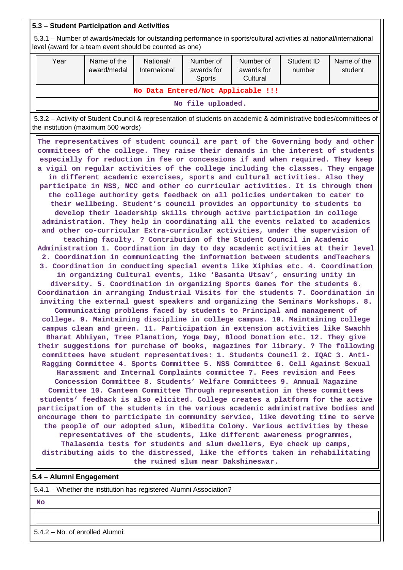**Thalasemia tests for students and slum dwellers, Eye check up camps, distributing aids to the distressed, like the efforts taken in rehabilitating the ruined slum near Dakshineswar.**

## **5.4 – Alumni Engagement**

5.4.1 – Whether the institution has registered Alumni Association?

 **No**

5.4.2 – No. of enrolled Alumni: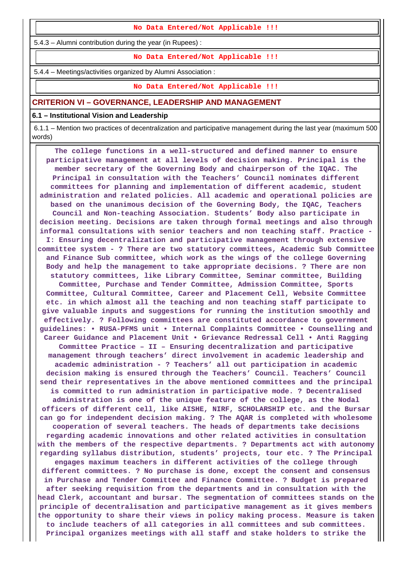**No Data Entered/Not Applicable !!!**

5.4.3 – Alumni contribution during the year (in Rupees) :

**No Data Entered/Not Applicable !!!**

5.4.4 – Meetings/activities organized by Alumni Association :

**No Data Entered/Not Applicable !!!**

#### **CRITERION VI – GOVERNANCE, LEADERSHIP AND MANAGEMENT**

**6.1 – Institutional Vision and Leadership**

 6.1.1 – Mention two practices of decentralization and participative management during the last year (maximum 500 words)

 **The college functions in a well-structured and defined manner to ensure participative management at all levels of decision making. Principal is the member secretary of the Governing Body and chairperson of the IQAC. The Principal in consultation with the Teachers' Council nominates different committees for planning and implementation of different academic, student administration and related policies. All academic and operational policies are based on the unanimous decision of the Governing Body, the IQAC, Teachers Council and Non-teaching Association. Students' Body also participate in decision meeting. Decisions are taken through formal meetings and also through informal consultations with senior teachers and non teaching staff. Practice - I: Ensuring decentralization and participative management through extensive committee system - ? There are two statutory committees, Academic Sub Committee and Finance Sub committee, which work as the wings of the college Governing Body and help the management to take appropriate decisions. ? There are non statutory committees, like Library Committee, Seminar committee, Building Committee, Purchase and Tender Committee, Admission Committee, Sports Committee, Cultural Committee, Career and Placement Cell, Website Committee etc. in which almost all the teaching and non teaching staff participate to give valuable inputs and suggestions for running the institution smoothly and effectively. ? Following committees are constituted accordance to government guidelines: • RUSA-PFMS unit • Internal Complaints Committee • Counselling and Career Guidance and Placement Unit • Grievance Redressal Cell • Anti Ragging Committee Practice – II – Ensuring decentralization and participative management through teachers' direct involvement in academic leadership and academic administration - ? Teachers' all out participation in academic decision making is ensured through the Teachers' Council. Teachers' Council send their representatives in the above mentioned committees and the principal is committed to run administration in participative mode. ? Decentralised administration is one of the unique feature of the college, as the Nodal officers of different cell, like AISHE, NIRF, SCHOLARSHIP etc. and the Bursar can go for independent decision making. ? The AQAR is completed with wholesome cooperation of several teachers. The heads of departments take decisions regarding academic innovations and other related activities in consultation with the members of the respective departments. ? Departments act with autonomy regarding syllabus distribution, students' projects, tour etc. ? The Principal engages maximum teachers in different activities of the college through different committees. ? No purchase is done, except the consent and consensus in Purchase and Tender Committee and Finance Committee. ? Budget is prepared after seeking requisition from the departments and in consultation with the head Clerk, accountant and bursar. The segmentation of committees stands on the principle of decentralisation and participative management as it gives members the opportunity to share their views in policy making process. Measure is taken to include teachers of all categories in all committees and sub committees. Principal organizes meetings with all staff and stake holders to strike the**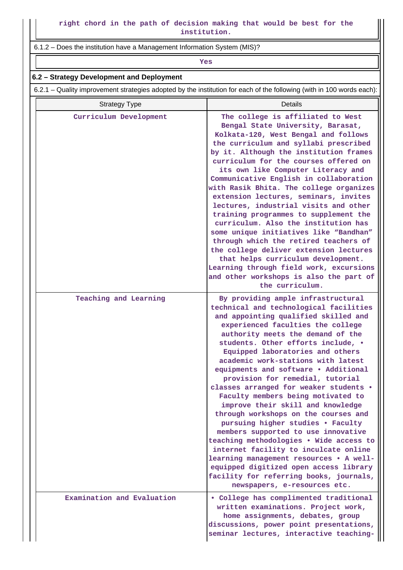6.1.2 – Does the institution have a Management Information System (MIS)?

*Yes* 

#### **6.2 – Strategy Development and Deployment**

6.2.1 – Quality improvement strategies adopted by the institution for each of the following (with in 100 words each):

| <b>Strategy Type</b>       | Details                                                                                                                                                                                                                                                                                                                                                                                                                                                                                                                                                                                                                                                                                                                                                                                                                                                                                 |
|----------------------------|-----------------------------------------------------------------------------------------------------------------------------------------------------------------------------------------------------------------------------------------------------------------------------------------------------------------------------------------------------------------------------------------------------------------------------------------------------------------------------------------------------------------------------------------------------------------------------------------------------------------------------------------------------------------------------------------------------------------------------------------------------------------------------------------------------------------------------------------------------------------------------------------|
| Curriculum Development     | The college is affiliated to West<br>Bengal State University, Barasat,<br>Kolkata-120, West Bengal and follows<br>the curriculum and syllabi prescribed<br>by it. Although the institution frames<br>curriculum for the courses offered on<br>its own like Computer Literacy and<br>Communicative English in collaboration<br>with Rasik Bhita. The college organizes<br>extension lectures, seminars, invites<br>lectures, industrial visits and other<br>training programmes to supplement the<br>curriculum. Also the institution has<br>some unique initiatives like "Bandhan"<br>through which the retired teachers of<br>the college deliver extension lectures<br>that helps curriculum development.<br>Learning through field work, excursions<br>and other workshops is also the part of<br>the curriculum.                                                                    |
| Teaching and Learning      | By providing ample infrastructural<br>technical and technological facilities<br>and appointing qualified skilled and<br>experienced faculties the college<br>authority meets the demand of the<br>students. Other efforts include, .<br>Equipped laboratories and others<br>academic work-stations with latest<br>equipments and software . Additional<br>provision for remedial, tutorial<br>classes arranged for weaker students .<br>Faculty members being motivated to<br>improve their skill and knowledge<br>through workshops on the courses and<br>pursuing higher studies . Faculty<br>members supported to use innovative<br>teaching methodologies . Wide access to<br>internet facility to inculcate online<br>learning management resources . A well-<br>equipped digitized open access library<br>facility for referring books, journals,<br>newspapers, e-resources etc. |
| Examination and Evaluation | . College has complimented traditional<br>written examinations. Project work,<br>home assignments, debates, group<br>discussions, power point presentations,<br>seminar lectures, interactive teaching-                                                                                                                                                                                                                                                                                                                                                                                                                                                                                                                                                                                                                                                                                 |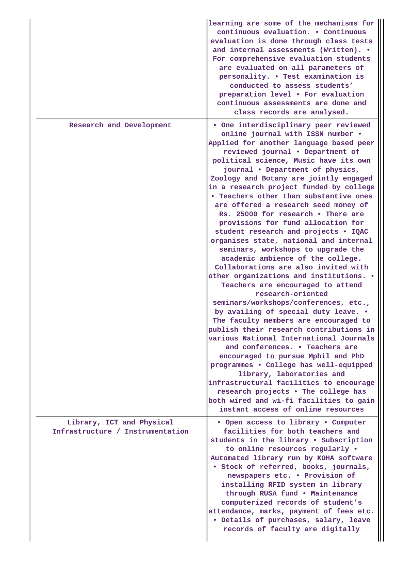|                                                               | learning are some of the mechanisms for<br>continuous evaluation. . Continuous<br>evaluation is done through class tests<br>and internal assessments (Written). .<br>For comprehensive evaluation students<br>are evaluated on all parameters of<br>personality. . Test examination is<br>conducted to assess students'<br>preparation level . For evaluation<br>continuous assessments are done and<br>class records are analysed.                                                                                                                                                                                                                                                                                                                                                                                                                                                                                                                                                                                                                                                                                                                                                                                                                                                                                                    |
|---------------------------------------------------------------|----------------------------------------------------------------------------------------------------------------------------------------------------------------------------------------------------------------------------------------------------------------------------------------------------------------------------------------------------------------------------------------------------------------------------------------------------------------------------------------------------------------------------------------------------------------------------------------------------------------------------------------------------------------------------------------------------------------------------------------------------------------------------------------------------------------------------------------------------------------------------------------------------------------------------------------------------------------------------------------------------------------------------------------------------------------------------------------------------------------------------------------------------------------------------------------------------------------------------------------------------------------------------------------------------------------------------------------|
| Research and Development                                      | • One interdisciplinary peer reviewed<br>online journal with ISSN number .<br>Applied for another language based peer<br>reviewed journal . Department of<br>political science, Music have its own<br>journal . Department of physics,<br>Zoology and Botany are jointly engaged<br>in a research project funded by college<br>. Teachers other than substantive ones<br>are offered a research seed money of<br>Rs. 25000 for research . There are<br>provisions for fund allocation for<br>student research and projects . IQAC<br>organises state, national and internal<br>seminars, workshops to upgrade the<br>academic ambience of the college.<br>Collaborations are also invited with<br>other organizations and institutions. .<br>Teachers are encouraged to attend<br>research-oriented<br>seminars/workshops/conferences, etc.,<br>by availing of special duty leave. .<br>The faculty members are encouraged to<br>publish their research contributions in<br>various National International Journals<br>and conferences. • Teachers are<br>encouraged to pursue Mphil and PhD<br>programmes . College has well-equipped<br>library, laboratories and<br>infrastructural facilities to encourage<br>research projects . The college has<br>both wired and wi-fi facilities to gain<br>instant access of online resources |
| Library, ICT and Physical<br>Infrastructure / Instrumentation | • Open access to library • Computer<br>facilities for both teachers and<br>students in the library . Subscription<br>to online resources regularly .<br>Automated library run by KOHA software<br>· Stock of referred, books, journals,<br>newspapers etc. . Provision of<br>installing RFID system in library<br>through RUSA fund . Maintenance<br>computerized records of student's<br>attendance, marks, payment of fees etc.<br>· Details of purchases, salary, leave<br>records of faculty are digitally                                                                                                                                                                                                                                                                                                                                                                                                                                                                                                                                                                                                                                                                                                                                                                                                                         |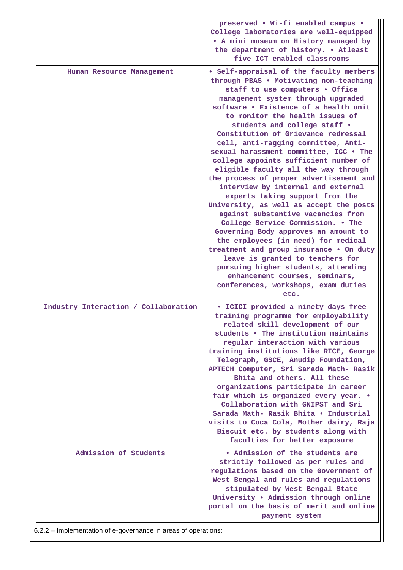|                                      | preserved • Wi-fi enabled campus •<br>College laboratories are well-equipped<br>. A mini museum on History managed by<br>the department of history. . Atleast<br>five ICT enabled classrooms                                                                                                                                                                                                                                                                                                                                                                                                                                                                                                                                                                                                                                                                                                                                                                                                                    |
|--------------------------------------|-----------------------------------------------------------------------------------------------------------------------------------------------------------------------------------------------------------------------------------------------------------------------------------------------------------------------------------------------------------------------------------------------------------------------------------------------------------------------------------------------------------------------------------------------------------------------------------------------------------------------------------------------------------------------------------------------------------------------------------------------------------------------------------------------------------------------------------------------------------------------------------------------------------------------------------------------------------------------------------------------------------------|
| Human Resource Management            | • Self-appraisal of the faculty members<br>through PBAS . Motivating non-teaching<br>staff to use computers . Office<br>management system through upgraded<br>software . Existence of a health unit<br>to monitor the health issues of<br>students and college staff .<br>Constitution of Grievance redressal<br>cell, anti-ragging committee, Anti-<br>sexual harassment committee, ICC . The<br>college appoints sufficient number of<br>eligible faculty all the way through<br>the process of proper advertisement and<br>interview by internal and external<br>experts taking support from the<br>University, as well as accept the posts<br>against substantive vacancies from<br>College Service Commission. . The<br>Governing Body approves an amount to<br>the employees (in need) for medical<br>treatment and group insurance . On duty<br>leave is granted to teachers for<br>pursuing higher students, attending<br>enhancement courses, seminars,<br>conferences, workshops, exam duties<br>etc. |
| Industry Interaction / Collaboration | . ICICI provided a ninety days free<br>training programme for employability<br>related skill development of our<br>students . The institution maintains<br>regular interaction with various<br>training institutions like RICE, George<br>Telegraph, GSCE, Anudip Foundation,<br>APTECH Computer, Sri Sarada Math- Rasik<br>Bhita and others. All these<br>organizations participate in career<br>fair which is organized every year. .<br>Collaboration with GNIPST and Sri<br>Sarada Math- Rasik Bhita . Industrial<br>visits to Coca Cola, Mother dairy, Raja<br>Biscuit etc. by students along with<br>faculties for better exposure                                                                                                                                                                                                                                                                                                                                                                        |
| Admission of Students                | • Admission of the students are<br>strictly followed as per rules and<br>regulations based on the Government of<br>West Bengal and rules and regulations<br>stipulated by West Bengal State<br>University . Admission through online<br>portal on the basis of merit and online<br>payment system                                                                                                                                                                                                                                                                                                                                                                                                                                                                                                                                                                                                                                                                                                               |
|                                      |                                                                                                                                                                                                                                                                                                                                                                                                                                                                                                                                                                                                                                                                                                                                                                                                                                                                                                                                                                                                                 |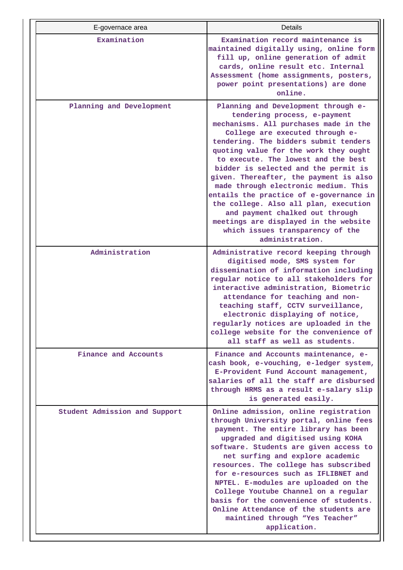| E-governace area              | Details                                                                                                                                                                                                                                                                                                                                                                                                                                                                                                                                                                                                                   |
|-------------------------------|---------------------------------------------------------------------------------------------------------------------------------------------------------------------------------------------------------------------------------------------------------------------------------------------------------------------------------------------------------------------------------------------------------------------------------------------------------------------------------------------------------------------------------------------------------------------------------------------------------------------------|
| Examination                   | Examination record maintenance is<br>maintained digitally using, online form<br>fill up, online generation of admit<br>cards, online result etc. Internal<br>Assessment (home assignments, posters,<br>power point presentations) are done<br>online.                                                                                                                                                                                                                                                                                                                                                                     |
| Planning and Development      | Planning and Development through e-<br>tendering process, e-payment<br>mechanisms. All purchases made in the<br>College are executed through e-<br>tendering. The bidders submit tenders<br>quoting value for the work they ought<br>to execute. The lowest and the best<br>bidder is selected and the permit is<br>given. Thereafter, the payment is also<br>made through electronic medium. This<br>entails the practice of e-governance in<br>the college. Also all plan, execution<br>and payment chalked out through<br>meetings are displayed in the website<br>which issues transparency of the<br>administration. |
| Administration                | Administrative record keeping through<br>digitised mode, SMS system for<br>dissemination of information including<br>regular notice to all stakeholders for<br>interactive administration, Biometric<br>attendance for teaching and non-<br>teaching staff, CCTV surveillance,<br>electronic displaying of notice,<br>regularly notices are uploaded in the<br>college website for the convenience of<br>all staff as well as students.                                                                                                                                                                                   |
| Finance and Accounts          | Finance and Accounts maintenance, e-<br>cash book, e-vouching, e-ledger system,<br>E-Provident Fund Account management,<br>salaries of all the staff are disbursed<br>through HRMS as a result e-salary slip<br>is generated easily.                                                                                                                                                                                                                                                                                                                                                                                      |
| Student Admission and Support | Online admission, online registration<br>through University portal, online fees<br>payment. The entire library has been<br>upgraded and digitised using KOHA<br>software. Students are given access to<br>net surfing and explore academic<br>resources. The college has subscribed<br>for e-resources such as IFLIBNET and<br>NPTEL. E-modules are uploaded on the<br>College Youtube Channel on a regular<br>basis for the convenience of students.<br>Online Attendance of the students are<br>maintined through "Yes Teacher"<br>application.                                                                         |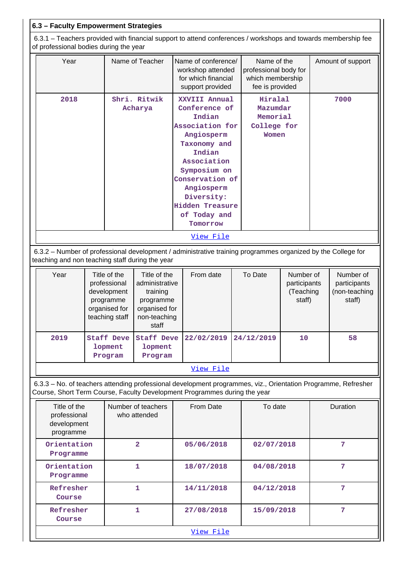|  | 6.3 - Faculty Empowerment Strategies |  |
|--|--------------------------------------|--|
|--|--------------------------------------|--|

**Programme**

**Refresher Course**

**Refresher Course**

 6.3.1 – Teachers provided with financial support to attend conferences / workshops and towards membership fee of professional bodies during the year

| or professional bodies during the year                                                                                                                                                                   |  |  |                                                                                                                                                                                                                                         |                                                                                     |                                                  |                                                                                                                                        |                                                      |    |                   |                 |
|----------------------------------------------------------------------------------------------------------------------------------------------------------------------------------------------------------|--|--|-----------------------------------------------------------------------------------------------------------------------------------------------------------------------------------------------------------------------------------------|-------------------------------------------------------------------------------------|--------------------------------------------------|----------------------------------------------------------------------------------------------------------------------------------------|------------------------------------------------------|----|-------------------|-----------------|
| Year<br>Name of Teacher                                                                                                                                                                                  |  |  |                                                                                                                                                                                                                                         | Name of conference/<br>workshop attended<br>for which financial<br>support provided |                                                  | Name of the<br>professional body for<br>which membership<br>fee is provided<br>Hiralal<br>Mazumdar<br>Memorial<br>College for<br>Women |                                                      |    | Amount of support |                 |
| 2018<br>Shri. Ritwik<br>Acharya                                                                                                                                                                          |  |  | XXVIII Annual<br>Conference of<br>Indian<br>Association for<br>Angiosperm<br>Taxonomy and<br>Indian<br>Association<br>Symposium on<br>Conservation of<br>Angiosperm<br>Diversity:<br><b>Hidden Treasure</b><br>of Today and<br>Tomorrow |                                                                                     | 7000                                             |                                                                                                                                        |                                                      |    |                   |                 |
| View File                                                                                                                                                                                                |  |  |                                                                                                                                                                                                                                         |                                                                                     |                                                  |                                                                                                                                        |                                                      |    |                   |                 |
| 6.3.2 - Number of professional development / administrative training programmes organized by the College for<br>teaching and non teaching staff during the year                                          |  |  |                                                                                                                                                                                                                                         |                                                                                     |                                                  |                                                                                                                                        |                                                      |    |                   |                 |
| Year<br>Title of the<br>Title of the<br>administrative<br>professional<br>development<br>training<br>programme<br>programme<br>organised for<br>organised for<br>teaching staff<br>non-teaching<br>staff |  |  | From date<br>To Date                                                                                                                                                                                                                    |                                                                                     | Number of<br>participants<br>(Teaching<br>staff) |                                                                                                                                        | Number of<br>participants<br>(non-teaching<br>staff) |    |                   |                 |
| 2019<br><b>Staff Deve</b><br><b>Staff Deve</b><br>lopment<br>lopment<br>Program<br>Program                                                                                                               |  |  | 22/02/2019                                                                                                                                                                                                                              |                                                                                     | 24/12/2019<br>10                                 |                                                                                                                                        |                                                      | 58 |                   |                 |
|                                                                                                                                                                                                          |  |  |                                                                                                                                                                                                                                         |                                                                                     | View File                                        |                                                                                                                                        |                                                      |    |                   |                 |
| 6.3.3 - No. of teachers attending professional development programmes, viz., Orientation Programme, Refresher<br>Course, Short Term Course, Faculty Development Programmes during the year               |  |  |                                                                                                                                                                                                                                         |                                                                                     |                                                  |                                                                                                                                        |                                                      |    |                   |                 |
| Title of the<br>professional<br>development<br>programme                                                                                                                                                 |  |  | Number of teachers<br>who attended                                                                                                                                                                                                      |                                                                                     | From Date                                        |                                                                                                                                        | To date                                              |    |                   | Duration        |
| Orientation<br>Programme                                                                                                                                                                                 |  |  | $\overline{\mathbf{2}}$                                                                                                                                                                                                                 |                                                                                     | 05/06/2018                                       |                                                                                                                                        | 02/07/2018                                           |    |                   | $7\phantom{.0}$ |
| Orientation                                                                                                                                                                                              |  |  | 1                                                                                                                                                                                                                                       |                                                                                     | 18/07/2018                                       |                                                                                                                                        | 04/08/2018                                           |    |                   | $\overline{7}$  |

**1 14/11/2018 04/12/2018 7**

**1 27/08/2018 15/09/2018 7**

[View File](https://assessmentonline.naac.gov.in/public/Postacc/Training_Programmes/4934_Training_Programmes_1584180123.xlsx)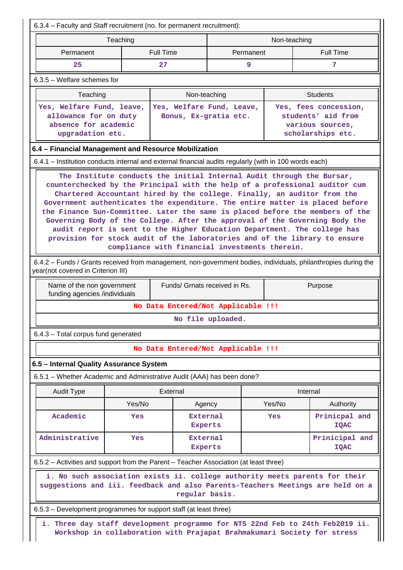| Teaching<br>Permanent<br>25<br>$6.3.5$ – Welfare schemes for<br>Teaching<br>Yes, Welfare Fund, leave,<br>allowance for on duty<br>absence for academic<br>upgradation etc.<br>6.4 - Financial Management and Resource Mobilization<br>6.4.1 – Institution conducts internal and external financial audits regularly (with in 100 words each)<br>The Institute conducts the initial Internal Audit through the Bursar,<br>counterchecked by the Principal with the help of a professional auditor cum<br>Chartered Accountant hired by the college. Finally, an auditor from the<br>year(not covered in Criterion III) | <b>Full Time</b><br>27                                                                                                                                                                                                                                 | Non-teaching                                                                                                                                                                                                                                                                                                                                                                                                                                             | Permanent<br>9<br>Yes, Welfare Fund, Leave,<br>Bonus, Ex-gratia etc. | Non-teaching | <b>Full Time</b><br>7<br><b>Students</b><br>Yes, fees concession,<br>students' aid from<br>various sources,<br>scholarships etc. |  |  |  |  |  |
|-----------------------------------------------------------------------------------------------------------------------------------------------------------------------------------------------------------------------------------------------------------------------------------------------------------------------------------------------------------------------------------------------------------------------------------------------------------------------------------------------------------------------------------------------------------------------------------------------------------------------|--------------------------------------------------------------------------------------------------------------------------------------------------------------------------------------------------------------------------------------------------------|----------------------------------------------------------------------------------------------------------------------------------------------------------------------------------------------------------------------------------------------------------------------------------------------------------------------------------------------------------------------------------------------------------------------------------------------------------|----------------------------------------------------------------------|--------------|----------------------------------------------------------------------------------------------------------------------------------|--|--|--|--|--|
|                                                                                                                                                                                                                                                                                                                                                                                                                                                                                                                                                                                                                       |                                                                                                                                                                                                                                                        |                                                                                                                                                                                                                                                                                                                                                                                                                                                          |                                                                      |              |                                                                                                                                  |  |  |  |  |  |
|                                                                                                                                                                                                                                                                                                                                                                                                                                                                                                                                                                                                                       |                                                                                                                                                                                                                                                        |                                                                                                                                                                                                                                                                                                                                                                                                                                                          |                                                                      |              |                                                                                                                                  |  |  |  |  |  |
|                                                                                                                                                                                                                                                                                                                                                                                                                                                                                                                                                                                                                       |                                                                                                                                                                                                                                                        |                                                                                                                                                                                                                                                                                                                                                                                                                                                          |                                                                      |              |                                                                                                                                  |  |  |  |  |  |
|                                                                                                                                                                                                                                                                                                                                                                                                                                                                                                                                                                                                                       |                                                                                                                                                                                                                                                        |                                                                                                                                                                                                                                                                                                                                                                                                                                                          |                                                                      |              |                                                                                                                                  |  |  |  |  |  |
|                                                                                                                                                                                                                                                                                                                                                                                                                                                                                                                                                                                                                       |                                                                                                                                                                                                                                                        |                                                                                                                                                                                                                                                                                                                                                                                                                                                          |                                                                      |              |                                                                                                                                  |  |  |  |  |  |
|                                                                                                                                                                                                                                                                                                                                                                                                                                                                                                                                                                                                                       |                                                                                                                                                                                                                                                        |                                                                                                                                                                                                                                                                                                                                                                                                                                                          |                                                                      |              |                                                                                                                                  |  |  |  |  |  |
|                                                                                                                                                                                                                                                                                                                                                                                                                                                                                                                                                                                                                       |                                                                                                                                                                                                                                                        |                                                                                                                                                                                                                                                                                                                                                                                                                                                          |                                                                      |              |                                                                                                                                  |  |  |  |  |  |
|                                                                                                                                                                                                                                                                                                                                                                                                                                                                                                                                                                                                                       |                                                                                                                                                                                                                                                        |                                                                                                                                                                                                                                                                                                                                                                                                                                                          |                                                                      |              |                                                                                                                                  |  |  |  |  |  |
|                                                                                                                                                                                                                                                                                                                                                                                                                                                                                                                                                                                                                       |                                                                                                                                                                                                                                                        | Government authenticates the expenditure. The entire matter is placed before<br>the Finance Sun-Committee. Later the same is placed before the members of the<br>Governing Body of the College. After the approval of the Governing Body the<br>audit report is sent to the Higher Education Department. The college has<br>provision for stock audit of the laboratories and of the library to ensure<br>compliance with financial investments therein. |                                                                      |              |                                                                                                                                  |  |  |  |  |  |
|                                                                                                                                                                                                                                                                                                                                                                                                                                                                                                                                                                                                                       | 6.4.2 - Funds / Grants received from management, non-government bodies, individuals, philanthropies during the<br>Funds/ Grnats received in Rs.<br>Name of the non government<br>Purpose<br>funding agencies /individuals                              |                                                                                                                                                                                                                                                                                                                                                                                                                                                          |                                                                      |              |                                                                                                                                  |  |  |  |  |  |
|                                                                                                                                                                                                                                                                                                                                                                                                                                                                                                                                                                                                                       |                                                                                                                                                                                                                                                        |                                                                                                                                                                                                                                                                                                                                                                                                                                                          | No Data Entered/Not Applicable !!!                                   |              |                                                                                                                                  |  |  |  |  |  |
|                                                                                                                                                                                                                                                                                                                                                                                                                                                                                                                                                                                                                       |                                                                                                                                                                                                                                                        | No file uploaded.                                                                                                                                                                                                                                                                                                                                                                                                                                        |                                                                      |              |                                                                                                                                  |  |  |  |  |  |
| 6.4.3 - Total corpus fund generated                                                                                                                                                                                                                                                                                                                                                                                                                                                                                                                                                                                   |                                                                                                                                                                                                                                                        |                                                                                                                                                                                                                                                                                                                                                                                                                                                          |                                                                      |              |                                                                                                                                  |  |  |  |  |  |
|                                                                                                                                                                                                                                                                                                                                                                                                                                                                                                                                                                                                                       |                                                                                                                                                                                                                                                        |                                                                                                                                                                                                                                                                                                                                                                                                                                                          | No Data Entered/Not Applicable !!!                                   |              |                                                                                                                                  |  |  |  |  |  |
| 6.5 - Internal Quality Assurance System                                                                                                                                                                                                                                                                                                                                                                                                                                                                                                                                                                               |                                                                                                                                                                                                                                                        |                                                                                                                                                                                                                                                                                                                                                                                                                                                          |                                                                      |              |                                                                                                                                  |  |  |  |  |  |
| 6.5.1 - Whether Academic and Administrative Audit (AAA) has been done?                                                                                                                                                                                                                                                                                                                                                                                                                                                                                                                                                |                                                                                                                                                                                                                                                        |                                                                                                                                                                                                                                                                                                                                                                                                                                                          |                                                                      |              |                                                                                                                                  |  |  |  |  |  |
| <b>Audit Type</b>                                                                                                                                                                                                                                                                                                                                                                                                                                                                                                                                                                                                     | External                                                                                                                                                                                                                                               |                                                                                                                                                                                                                                                                                                                                                                                                                                                          |                                                                      |              | Internal                                                                                                                         |  |  |  |  |  |
|                                                                                                                                                                                                                                                                                                                                                                                                                                                                                                                                                                                                                       | Yes/No                                                                                                                                                                                                                                                 | Agency                                                                                                                                                                                                                                                                                                                                                                                                                                                   |                                                                      | Yes/No       | Authority                                                                                                                        |  |  |  |  |  |
| Academic                                                                                                                                                                                                                                                                                                                                                                                                                                                                                                                                                                                                              | Yes                                                                                                                                                                                                                                                    | <b>External</b><br><b>Experts</b>                                                                                                                                                                                                                                                                                                                                                                                                                        |                                                                      | Yes          | Prinicpal and<br><b>IQAC</b>                                                                                                     |  |  |  |  |  |
| Administrative                                                                                                                                                                                                                                                                                                                                                                                                                                                                                                                                                                                                        | Yes                                                                                                                                                                                                                                                    | External<br><b>Experts</b>                                                                                                                                                                                                                                                                                                                                                                                                                               |                                                                      |              | Prinicipal and<br><b>IQAC</b>                                                                                                    |  |  |  |  |  |
|                                                                                                                                                                                                                                                                                                                                                                                                                                                                                                                                                                                                                       |                                                                                                                                                                                                                                                        |                                                                                                                                                                                                                                                                                                                                                                                                                                                          |                                                                      |              |                                                                                                                                  |  |  |  |  |  |
|                                                                                                                                                                                                                                                                                                                                                                                                                                                                                                                                                                                                                       | 6.5.2 – Activities and support from the Parent – Teacher Association (at least three)<br>i. No such association exists ii. college authority meets parents for their<br>suggestions and iii. feedback and also Parents-Teachers Meetings are held on a |                                                                                                                                                                                                                                                                                                                                                                                                                                                          |                                                                      |              |                                                                                                                                  |  |  |  |  |  |
|                                                                                                                                                                                                                                                                                                                                                                                                                                                                                                                                                                                                                       | regular basis.                                                                                                                                                                                                                                         |                                                                                                                                                                                                                                                                                                                                                                                                                                                          |                                                                      |              |                                                                                                                                  |  |  |  |  |  |
|                                                                                                                                                                                                                                                                                                                                                                                                                                                                                                                                                                                                                       |                                                                                                                                                                                                                                                        | 6.5.3 – Development programmes for support staff (at least three)<br>i. Three day staff development programme for NTS 22nd Feb to 24th Feb2019 ii.                                                                                                                                                                                                                                                                                                       |                                                                      |              |                                                                                                                                  |  |  |  |  |  |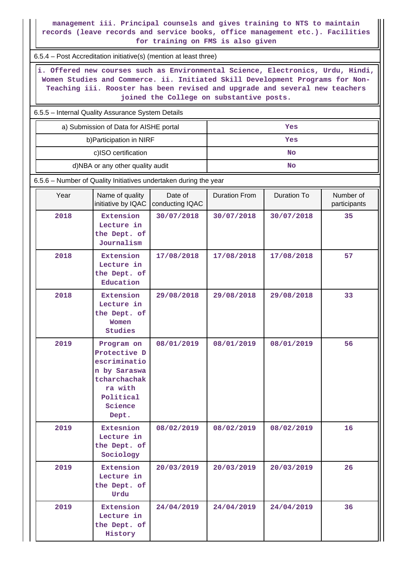#### **management iii. Principal counsels and gives training to NTS to maintain records (leave records and service books, office management etc.). Facilities for training on FMS is also given**

6.5.4 – Post Accreditation initiative(s) (mention at least three)

 **i. Offered new courses such as Environmental Science, Electronics, Urdu, Hindi, Women Studies and Commerce. ii. Initiated Skill Development Programs for Non-Teaching iii. Rooster has been revised and upgrade and several new teachers joined the College on substantive posts.**

6.5.5 – Internal Quality Assurance System Details

| a) Submission of Data for AISHE portal | Yes |
|----------------------------------------|-----|
| b) Participation in NIRF               | Yes |
| c)ISO certification                    | No  |
| d)NBA or any other quality audit       | No  |

6.5.6 – Number of Quality Initiatives undertaken during the year

| Year | Name of quality<br>initiative by IQAC                                                                                  | Date of<br>conducting IQAC | <b>Duration From</b> | Duration To | Number of<br>participants |
|------|------------------------------------------------------------------------------------------------------------------------|----------------------------|----------------------|-------------|---------------------------|
| 2018 | Extension<br>Lecture in<br>the Dept. of<br>Journalism                                                                  | 30/07/2018                 | 30/07/2018           | 30/07/2018  | 35                        |
| 2018 | Extension<br>Lecture in<br>the Dept. of<br>Education                                                                   | 17/08/2018                 | 17/08/2018           | 17/08/2018  | 57                        |
| 2018 | Extension<br>Lecture in<br>the Dept. of<br>Women<br>Studies                                                            | 29/08/2018                 | 29/08/2018           | 29/08/2018  | 33                        |
| 2019 | Program on<br>Protective D<br>escriminatio<br>n by Saraswa<br>tcharchachak<br>ra with<br>Political<br>Science<br>Dept. | 08/01/2019                 | 08/01/2019           | 08/01/2019  | 56                        |
| 2019 | Extesnion<br>Lecture in<br>the Dept. of<br>Sociology                                                                   | 08/02/2019                 | 08/02/2019           | 08/02/2019  | 16                        |
| 2019 | Extension<br>Lecture in<br>the Dept. of<br>Urdu                                                                        | 20/03/2019                 | 20/03/2019           | 20/03/2019  | 26                        |
| 2019 | Extension<br>Lecture in<br>the Dept. of<br>History                                                                     | 24/04/2019                 | 24/04/2019           | 24/04/2019  | 36                        |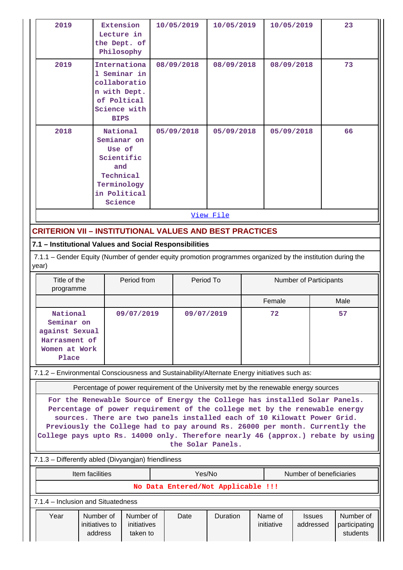| 2019                                                                                                                                                                                                                                                                                                                                                                                                                       | Extension<br>Lecture in<br>the Dept. of<br>Philosophy                                                         |  | 10/05/2019 |                          | 10/05/2019 | 10/05/2019                                                                            |                            |                         |                                        | 23 |  |
|----------------------------------------------------------------------------------------------------------------------------------------------------------------------------------------------------------------------------------------------------------------------------------------------------------------------------------------------------------------------------------------------------------------------------|---------------------------------------------------------------------------------------------------------------|--|------------|--------------------------|------------|---------------------------------------------------------------------------------------|----------------------------|-------------------------|----------------------------------------|----|--|
| 2019                                                                                                                                                                                                                                                                                                                                                                                                                       | Internationa<br>1 Seminar in<br>collaboratio<br>n with Dept.<br>of Poltical<br>Science with<br><b>BIPS</b>    |  |            | 08/09/2018<br>08/09/2018 |            |                                                                                       | 08/09/2018                 |                         | 73                                     |    |  |
| 2018                                                                                                                                                                                                                                                                                                                                                                                                                       | National<br>Semianar on<br>Use of<br>Scientific<br>and<br>Technical<br>Terminology<br>in Political<br>Science |  | 05/09/2018 |                          | 05/09/2018 |                                                                                       | 05/09/2018                 |                         |                                        | 66 |  |
|                                                                                                                                                                                                                                                                                                                                                                                                                            |                                                                                                               |  |            |                          |            | View File                                                                             |                            |                         |                                        |    |  |
| <b>CRITERION VII - INSTITUTIONAL VALUES AND BEST PRACTICES</b>                                                                                                                                                                                                                                                                                                                                                             |                                                                                                               |  |            |                          |            |                                                                                       |                            |                         |                                        |    |  |
| 7.1 - Institutional Values and Social Responsibilities                                                                                                                                                                                                                                                                                                                                                                     |                                                                                                               |  |            |                          |            |                                                                                       |                            |                         |                                        |    |  |
| 7.1.1 – Gender Equity (Number of gender equity promotion programmes organized by the institution during the<br>year)                                                                                                                                                                                                                                                                                                       |                                                                                                               |  |            |                          |            |                                                                                       |                            |                         |                                        |    |  |
| Title of the<br>Period from<br>programme                                                                                                                                                                                                                                                                                                                                                                                   |                                                                                                               |  |            | Period To                |            |                                                                                       | Number of Participants     |                         |                                        |    |  |
|                                                                                                                                                                                                                                                                                                                                                                                                                            |                                                                                                               |  |            |                          |            | Female                                                                                |                            |                         | Male                                   |    |  |
| National<br>09/07/2019<br>Seminar on<br>against Sexual<br>Harrasment of<br>Women at Work<br>Place                                                                                                                                                                                                                                                                                                                          |                                                                                                               |  | 09/07/2019 |                          |            | 72                                                                                    |                            |                         | 57                                     |    |  |
| 7.1.2 - Environmental Consciousness and Sustainability/Alternate Energy initiatives such as:                                                                                                                                                                                                                                                                                                                               |                                                                                                               |  |            |                          |            |                                                                                       |                            |                         |                                        |    |  |
|                                                                                                                                                                                                                                                                                                                                                                                                                            |                                                                                                               |  |            |                          |            | Percentage of power requirement of the University met by the renewable energy sources |                            |                         |                                        |    |  |
| For the Renewable Source of Energy the College has installed Solar Panels.<br>Percentage of power requirement of the college met by the renewable energy<br>sources. There are two panels installed each of 10 Kilowatt Power Grid.<br>Previously the College had to pay around Rs. 26000 per month. Currently the<br>College pays upto Rs. 14000 only. Therefore nearly 46 (approx.) rebate by using<br>the Solar Panels. |                                                                                                               |  |            |                          |            |                                                                                       |                            |                         |                                        |    |  |
| 7.1.3 - Differently abled (Divyangjan) friendliness                                                                                                                                                                                                                                                                                                                                                                        |                                                                                                               |  |            |                          |            |                                                                                       |                            |                         |                                        |    |  |
| Item facilities                                                                                                                                                                                                                                                                                                                                                                                                            |                                                                                                               |  |            | Yes/No                   |            |                                                                                       |                            | Number of beneficiaries |                                        |    |  |
| No Data Entered/Not Applicable !!!                                                                                                                                                                                                                                                                                                                                                                                         |                                                                                                               |  |            |                          |            |                                                                                       |                            |                         |                                        |    |  |
| 7.1.4 - Inclusion and Situatedness                                                                                                                                                                                                                                                                                                                                                                                         |                                                                                                               |  |            |                          |            |                                                                                       |                            |                         |                                        |    |  |
| Number of<br>Number of<br>Year<br>initiatives to<br>initiatives<br>address<br>taken to                                                                                                                                                                                                                                                                                                                                     |                                                                                                               |  | Date       | Duration                 |            | Name of<br>initiative                                                                 | <b>Issues</b><br>addressed |                         | Number of<br>participating<br>students |    |  |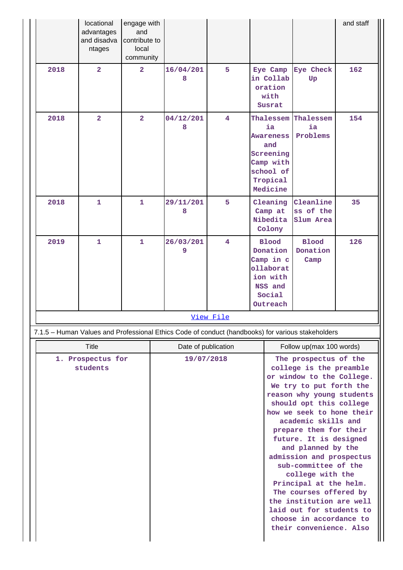|                               | locational<br>advantages<br>and disadva<br>ntages | engage with<br>and<br>contribute to<br>local<br>community |  |                     |                |                                                                                                 |                                                                                                                                                                                                                                                                                                                                                                                                                                                                                                                                          |                                                                                                   | and staff |
|-------------------------------|---------------------------------------------------|-----------------------------------------------------------|--|---------------------|----------------|-------------------------------------------------------------------------------------------------|------------------------------------------------------------------------------------------------------------------------------------------------------------------------------------------------------------------------------------------------------------------------------------------------------------------------------------------------------------------------------------------------------------------------------------------------------------------------------------------------------------------------------------------|---------------------------------------------------------------------------------------------------|-----------|
| 2018                          | $\overline{2}$                                    | $\overline{2}$                                            |  | 16/04/201<br>8      | 5              |                                                                                                 | Eye Camp<br>in Collab<br>oration<br>with<br>Susrat                                                                                                                                                                                                                                                                                                                                                                                                                                                                                       | Eye Check<br>Up                                                                                   | 162       |
| 2018                          | $\overline{2}$                                    | $\overline{2}$                                            |  | 04/12/201<br>8      | $\overline{4}$ |                                                                                                 | ia<br><b>Awareness</b><br>and<br>Screening<br>Camp with<br>school of<br>Tropical<br>Medicine                                                                                                                                                                                                                                                                                                                                                                                                                                             | Thalessem Thalessem<br>ia<br>Problems                                                             | 154       |
| 2018                          | $\mathbf{1}$                                      | $\mathbf{1}$                                              |  | 29/11/201<br>8      | 5              |                                                                                                 | Cleaning<br>Camp at<br>Nibedita<br>Colony                                                                                                                                                                                                                                                                                                                                                                                                                                                                                                | Cleanline<br>ss of the<br>Slum Area                                                               | 35        |
| 2019                          | $\mathbf{1}$<br>$\mathbf{1}$                      |                                                           |  | 26/03/201<br>9      | $\overline{4}$ | <b>Blood</b><br>Donation<br>Camp in c<br>ollaborat<br>ion with<br>NSS and<br>Social<br>Outreach |                                                                                                                                                                                                                                                                                                                                                                                                                                                                                                                                          | <b>Blood</b><br>Donation<br>Camp                                                                  | 126       |
|                               |                                                   |                                                           |  |                     | View File      |                                                                                                 |                                                                                                                                                                                                                                                                                                                                                                                                                                                                                                                                          |                                                                                                   |           |
|                               |                                                   |                                                           |  |                     |                |                                                                                                 |                                                                                                                                                                                                                                                                                                                                                                                                                                                                                                                                          | 7.1.5 - Human Values and Professional Ethics Code of conduct (handbooks) for various stakeholders |           |
| <b>Title</b>                  |                                                   |                                                           |  | Date of publication |                |                                                                                                 | Follow up(max 100 words)                                                                                                                                                                                                                                                                                                                                                                                                                                                                                                                 |                                                                                                   |           |
| 1. Prospectus for<br>students |                                                   |                                                           |  | 19/07/2018          |                |                                                                                                 | The prospectus of the<br>college is the preamble<br>or window to the College.<br>We try to put forth the<br>reason why young students<br>should opt this college<br>how we seek to hone their<br>academic skills and<br>prepare them for their<br>future. It is designed<br>and planned by the<br>admission and prospectus<br>sub-committee of the<br>college with the<br>Principal at the helm.<br>The courses offered by<br>the institution are well<br>laid out for students to<br>choose in accordance to<br>their convenience. Also |                                                                                                   |           |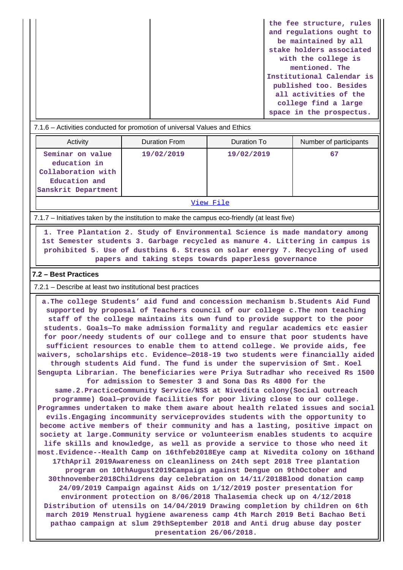|  | the fee structure, rules  |
|--|---------------------------|
|  | and regulations ought to  |
|  | be maintained by all      |
|  | stake holders associated  |
|  | with the college is       |
|  | mentioned. The            |
|  | Institutional Calendar is |
|  | published too. Besides    |
|  | all activities of the     |
|  | college find a large      |
|  | space in the prospectus.  |

#### 7.1.6 – Activities conducted for promotion of universal Values and Ethics

| Activity                                                                                       | <b>Duration From</b> | Duration To | Number of participants |  |  |  |
|------------------------------------------------------------------------------------------------|----------------------|-------------|------------------------|--|--|--|
| Seminar on value<br>education in<br>Collaboration with<br>Education and<br>Sanskrit Department | 19/02/2019           | 19/02/2019  | 67                     |  |  |  |
| View File                                                                                      |                      |             |                        |  |  |  |

7.1.7 – Initiatives taken by the institution to make the campus eco-friendly (at least five)

 **1. Tree Plantation 2. Study of Environmental Science is made mandatory among 1st Semester students 3. Garbage recycled as manure 4. Littering in campus is prohibited 5. Use of dustbins 6. Stress on solar energy 7. Recycling of used papers and taking steps towards paperless governance**

#### **7.2 – Best Practices**

7.2.1 – Describe at least two institutional best practices

 **a.The college Students' aid fund and concession mechanism b.Students Aid Fund supported by proposal of Teachers council of our college c.The non teaching staff of the college maintains its own fund to provide support to the poor students. Goals—To make admission formality and regular academics etc easier for poor/needy students of our college and to ensure that poor students have sufficient resources to enable them to attend college. We provide aids, fee waivers, scholarships etc. Evidence—2018-19 two students were financially aided through students Aid fund. The fund is under the supervision of Smt. Koel Sengupta Librarian. The beneficiaries were Priya Sutradhar who received Rs 1500 for admission to Semester 3 and Sona Das Rs 4800 for the same.2.PracticeCommunity Service/NSS at Nivedita colony(Social outreach programme) Goal—provide facilities for poor living close to our college. Programmes undertaken to make them aware about health related issues and social evils.Engaging incommunity serviceprovides students with the opportunity to become active members of their community and has a lasting, positive impact on society at large.Community service or volunteerism enables students to acquire life skills and knowledge, as well as provide a service to those who need it most.Evidence--Health Camp on 16thfeb2018Eye camp at Nivedita colony on 16thand 17thApril 2019Awareness on cleanliness on 24th sept 2018 Tree plantation program on 10thAugust2019Campaign against Dengue on 9thOctober and 30thnovember2018Childrens day celebration on 14/11/2018Blood donation camp 24/09/2019 Campaign against Aids on 1/12/2019 poster presentation for environment protection on 8/06/2018 Thalasemia check up on 4/12/2018 Distribution of utensils on 14/04/2019 Drawing completion by children on 6th march 2019 Menstrual hygiene awareness camp 4th March 2019 Beti Bachao Beti pathao campaign at slum 29thSeptember 2018 and Anti drug abuse day poster presentation 26/06/2018.**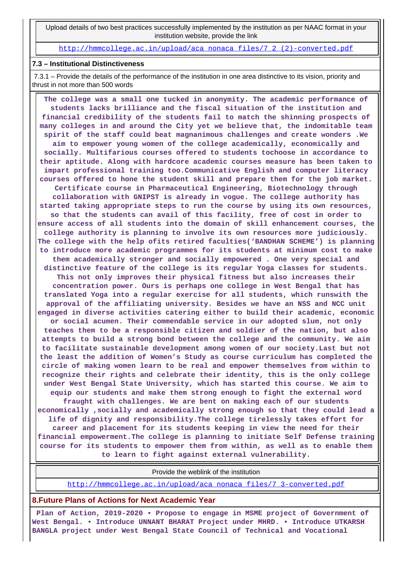Upload details of two best practices successfully implemented by the institution as per NAAC format in your institution website, provide the link

[http://hmmcollege.ac.in/upload/aca\\_nonaca\\_files/7\\_2\\_\(2\)-converted.pdf](http://hmmcollege.ac.in/upload/aca_nonaca_files/7_2_(2)-converted.pdf)

#### **7.3 – Institutional Distinctiveness**

 7.3.1 – Provide the details of the performance of the institution in one area distinctive to its vision, priority and thrust in not more than 500 words

 **The college was a small one tucked in anonymity. The academic performance of students lacks brilliance and the fiscal situation of the institution and financial credibility of the students fail to match the shinning prospects of many colleges in and around the City yet we believe that, the indomitable team spirit of the staff could beat magnanimous challenges and create wonders .We aim to empower young women of the college academically, economically and socially. Multifarious courses offered to students tochoose in accordance to their aptitude. Along with hardcore academic courses measure has been taken to impart professional training too.Communicative English and computer literacy courses offered to hone the student skill and prepare them for the job market. Certificate course in Pharmaceutical Engineering, Biotechnology through collaboration with GNIPST is already in vogue. The college authority has started taking appropriate steps to run the course by using its own resources, so that the students can avail of this facility, free of cost in order to ensure access of all students into the domain of skill enhancement courses, the college authority is planning to involve its own resources more judiciously. The college with the help ofits retired faculties('BANDHAN SCHEME') is planning to introduce more academic programmes for its students at minimum cost to make them academically stronger and socially empowered . One very special and distinctive feature of the college is its regular Yoga classes for students. This not only improves their physical fitness but also increases their concentration power. Ours is perhaps one college in West Bengal that has translated Yoga into a regular exercise for all students, which runswith the approval of the affiliating university. Besides we have an NSS and NCC unit engaged in diverse activities catering either to build their academic, economic or social acumen. Their commendable service in our adopted slum, not only teaches them to be a responsible citizen and soldier of the nation, but also attempts to build a strong bond between the college and the community. We aim to facilitate sustainable development among women of our society.Last but not the least the addition of Women's Study as course curriculum has completed the circle of making women learn to be real and empower themselves from within to recognize their rights and celebrate their identity, this is the only college under West Bengal State University, which has started this course. We aim to equip our students and make them strong enough to fight the external word fraught with challenges. We are bent on making each of our students economically ,socially and academically strong enough so that they could lead a life of dignity and responsibility.The college tirelessly takes effort for career and placement for its students keeping in view the need for their financial empowerment.The college is planning to initiate Self Defense training course for its students to empower them from within, as well as to enable them to learn to fight against external vulnerability.**

Provide the weblink of the institution

[http://hmmcollege.ac.in/upload/aca\\_nonaca\\_files/7\\_3-converted.pdf](http://hmmcollege.ac.in/upload/aca_nonaca_files/7_3-converted.pdf)

#### **8.Future Plans of Actions for Next Academic Year**

 **Plan of Action, 2019-2020 • Propose to engage in MSME project of Government of West Bengal. • Introduce UNNANT BHARAT Project under MHRD. • Introduce UTKARSH BANGLA project under West Bengal State Council of Technical and Vocational**